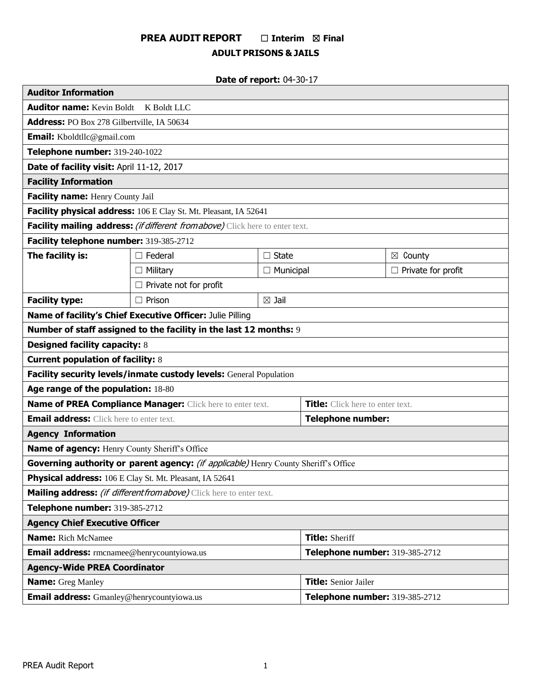# **PREA AUDIT REPORT** ☐ **Interim** ☒ **Final ADULT PRISONS & JAILS**

# **Date of report:** 04-30-17

| <b>Auditor Information</b>                                                          |                               |                  |                                  |                           |
|-------------------------------------------------------------------------------------|-------------------------------|------------------|----------------------------------|---------------------------|
| <b>Auditor name: Kevin Boldt</b><br>K Boldt LLC                                     |                               |                  |                                  |                           |
| Address: PO Box 278 Gilbertville, IA 50634                                          |                               |                  |                                  |                           |
| <b>Email:</b> Kboldtllc@gmail.com                                                   |                               |                  |                                  |                           |
| Telephone number: 319-240-1022                                                      |                               |                  |                                  |                           |
| Date of facility visit: April 11-12, 2017                                           |                               |                  |                                  |                           |
| <b>Facility Information</b>                                                         |                               |                  |                                  |                           |
| Facility name: Henry County Jail                                                    |                               |                  |                                  |                           |
| Facility physical address: 106 E Clay St. Mt. Pleasant, IA 52641                    |                               |                  |                                  |                           |
| Facility mailing address: (if different from above) Click here to enter text.       |                               |                  |                                  |                           |
| Facility telephone number: 319-385-2712                                             |                               |                  |                                  |                           |
| The facility is:                                                                    | $\Box$ Federal                | $\Box$ State     |                                  | $\boxtimes$ County        |
|                                                                                     | $\Box$ Military               | $\Box$ Municipal |                                  | $\Box$ Private for profit |
|                                                                                     | $\Box$ Private not for profit |                  |                                  |                           |
| <b>Facility type:</b>                                                               | $\Box$ Prison                 | $\boxtimes$ Jail |                                  |                           |
| Name of facility's Chief Executive Officer: Julie Pilling                           |                               |                  |                                  |                           |
| Number of staff assigned to the facility in the last 12 months: 9                   |                               |                  |                                  |                           |
| <b>Designed facility capacity: 8</b>                                                |                               |                  |                                  |                           |
| <b>Current population of facility: 8</b>                                            |                               |                  |                                  |                           |
| Facility security levels/inmate custody levels: General Population                  |                               |                  |                                  |                           |
| Age range of the population: 18-80                                                  |                               |                  |                                  |                           |
| <b>Name of PREA Compliance Manager:</b> Click here to enter text.                   |                               |                  | Title: Click here to enter text. |                           |
| <b>Email address:</b> Click here to enter text.                                     |                               |                  | <b>Telephone number:</b>         |                           |
| <b>Agency Information</b>                                                           |                               |                  |                                  |                           |
| Name of agency: Henry County Sheriff's Office                                       |                               |                  |                                  |                           |
| Governing authority or parent agency: (if applicable) Henry County Sheriff's Office |                               |                  |                                  |                           |
| Physical address: 106 E Clay St. Mt. Pleasant, IA 52641                             |                               |                  |                                  |                           |
| Mailing address: <i>(if different from above)</i> Click here to enter text.         |                               |                  |                                  |                           |
| Telephone number: 319-385-2712                                                      |                               |                  |                                  |                           |
| <b>Agency Chief Executive Officer</b>                                               |                               |                  |                                  |                           |
| <b>Name:</b> Rich McNamee                                                           |                               |                  | <b>Title: Sheriff</b>            |                           |
| <b>Email address:</b> rmcnamee@henrycountyiowa.us                                   |                               |                  | Telephone number: 319-385-2712   |                           |
| <b>Agency-Wide PREA Coordinator</b>                                                 |                               |                  |                                  |                           |
| <b>Name:</b> Greg Manley                                                            |                               |                  | <b>Title:</b> Senior Jailer      |                           |
| <b>Email address:</b> Gmanley@henrycountyiowa.us                                    |                               |                  | Telephone number: 319-385-2712   |                           |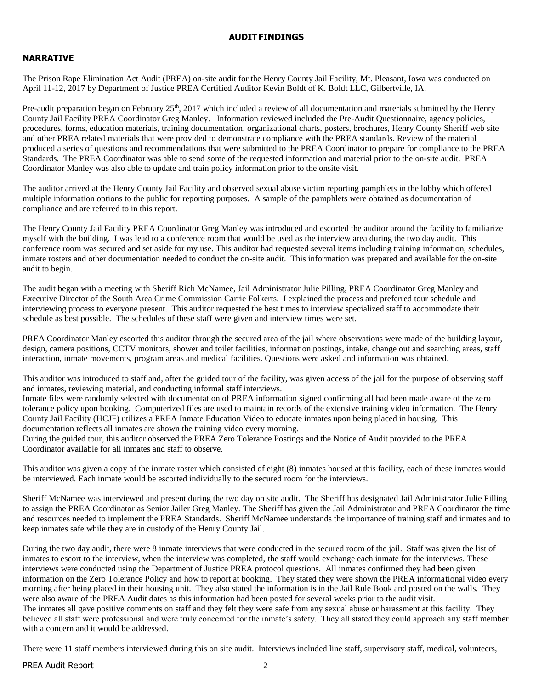### **AUDITFINDINGS**

## **NARRATIVE**

The Prison Rape Elimination Act Audit (PREA) on-site audit for the Henry County Jail Facility, Mt. Pleasant, Iowa was conducted on April 11-12, 2017 by Department of Justice PREA Certified Auditor Kevin Boldt of K. Boldt LLC, Gilbertville, IA.

Pre-audit preparation began on February  $25<sup>th</sup>$ ,  $2017$  which included a review of all documentation and materials submitted by the Henry County Jail Facility PREA Coordinator Greg Manley. Information reviewed included the Pre-Audit Questionnaire, agency policies, procedures, forms, education materials, training documentation, organizational charts, posters, brochures, Henry County Sheriff web site and other PREA related materials that were provided to demonstrate compliance with the PREA standards. Review of the material produced a series of questions and recommendations that were submitted to the PREA Coordinator to prepare for compliance to the PREA Standards. The PREA Coordinator was able to send some of the requested information and material prior to the on-site audit. PREA Coordinator Manley was also able to update and train policy information prior to the onsite visit.

The auditor arrived at the Henry County Jail Facility and observed sexual abuse victim reporting pamphlets in the lobby which offered multiple information options to the public for reporting purposes. A sample of the pamphlets were obtained as documentation of compliance and are referred to in this report.

The Henry County Jail Facility PREA Coordinator Greg Manley was introduced and escorted the auditor around the facility to familiarize myself with the building. I was lead to a conference room that would be used as the interview area during the two day audit. This conference room was secured and set aside for my use. This auditor had requested several items including training information, schedules, inmate rosters and other documentation needed to conduct the on-site audit. This information was prepared and available for the on-site audit to begin.

The audit began with a meeting with Sheriff Rich McNamee, Jail Administrator Julie Pilling, PREA Coordinator Greg Manley and Executive Director of the South Area Crime Commission Carrie Folkerts. I explained the process and preferred tour schedule and interviewing process to everyone present. This auditor requested the best times to interview specialized staff to accommodate their schedule as best possible. The schedules of these staff were given and interview times were set.

PREA Coordinator Manley escorted this auditor through the secured area of the jail where observations were made of the building layout, design, camera positions, CCTV monitors, shower and toilet facilities, information postings, intake, change out and searching areas, staff interaction, inmate movements, program areas and medical facilities. Questions were asked and information was obtained.

This auditor was introduced to staff and, after the guided tour of the facility, was given access of the jail for the purpose of observing staff and inmates, reviewing material, and conducting informal staff interviews.

Inmate files were randomly selected with documentation of PREA information signed confirming all had been made aware of the zero tolerance policy upon booking. Computerized files are used to maintain records of the extensive training video information. The Henry County Jail Facility (HCJF) utilizes a PREA Inmate Education Video to educate inmates upon being placed in housing. This documentation reflects all inmates are shown the training video every morning.

During the guided tour, this auditor observed the PREA Zero Tolerance Postings and the Notice of Audit provided to the PREA Coordinator available for all inmates and staff to observe.

This auditor was given a copy of the inmate roster which consisted of eight (8) inmates housed at this facility, each of these inmates would be interviewed. Each inmate would be escorted individually to the secured room for the interviews.

Sheriff McNamee was interviewed and present during the two day on site audit. The Sheriff has designated Jail Administrator Julie Pilling to assign the PREA Coordinator as Senior Jailer Greg Manley. The Sheriff has given the Jail Administrator and PREA Coordinator the time and resources needed to implement the PREA Standards. Sheriff McNamee understands the importance of training staff and inmates and to keep inmates safe while they are in custody of the Henry County Jail.

During the two day audit, there were 8 inmate interviews that were conducted in the secured room of the jail. Staff was given the list of inmates to escort to the interview, when the interview was completed, the staff would exchange each inmate for the interviews. These interviews were conducted using the Department of Justice PREA protocol questions. All inmates confirmed they had been given information on the Zero Tolerance Policy and how to report at booking. They stated they were shown the PREA informational video every morning after being placed in their housing unit. They also stated the information is in the Jail Rule Book and posted on the walls. They were also aware of the PREA Audit dates as this information had been posted for several weeks prior to the audit visit. The inmates all gave positive comments on staff and they felt they were safe from any sexual abuse or harassment at this facility. They believed all staff were professional and were truly concerned for the inmate's safety. They all stated they could approach any staff member with a concern and it would be addressed.

There were 11 staff members interviewed during this on site audit. Interviews included line staff, supervisory staff, medical, volunteers,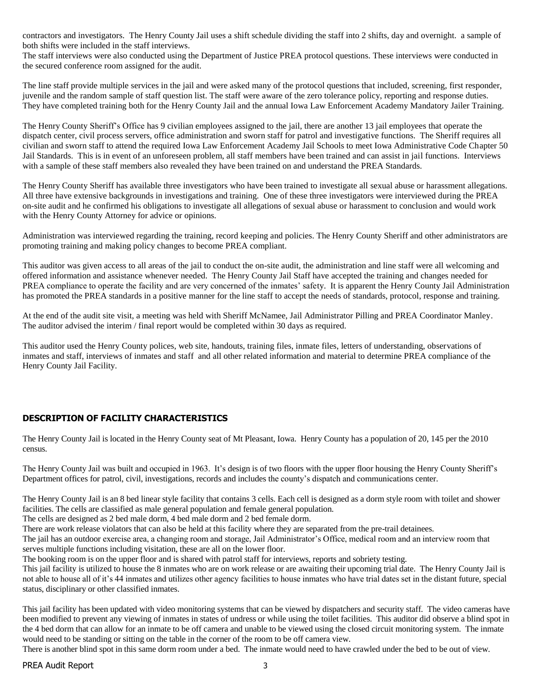contractors and investigators. The Henry County Jail uses a shift schedule dividing the staff into 2 shifts, day and overnight. a sample of both shifts were included in the staff interviews.

The staff interviews were also conducted using the Department of Justice PREA protocol questions. These interviews were conducted in the secured conference room assigned for the audit.

The line staff provide multiple services in the jail and were asked many of the protocol questions that included, screening, first responder, juvenile and the random sample of staff question list. The staff were aware of the zero tolerance policy, reporting and response duties. They have completed training both for the Henry County Jail and the annual Iowa Law Enforcement Academy Mandatory Jailer Training.

The Henry County Sheriff's Office has 9 civilian employees assigned to the jail, there are another 13 jail employees that operate the dispatch center, civil process servers, office administration and sworn staff for patrol and investigative functions. The Sheriff requires all civilian and sworn staff to attend the required Iowa Law Enforcement Academy Jail Schools to meet Iowa Administrative Code Chapter 50 Jail Standards. This is in event of an unforeseen problem, all staff members have been trained and can assist in jail functions. Interviews with a sample of these staff members also revealed they have been trained on and understand the PREA Standards.

The Henry County Sheriff has available three investigators who have been trained to investigate all sexual abuse or harassment allegations. All three have extensive backgrounds in investigations and training. One of these three investigators were interviewed during the PREA on-site audit and he confirmed his obligations to investigate all allegations of sexual abuse or harassment to conclusion and would work with the Henry County Attorney for advice or opinions.

Administration was interviewed regarding the training, record keeping and policies. The Henry County Sheriff and other administrators are promoting training and making policy changes to become PREA compliant.

This auditor was given access to all areas of the jail to conduct the on-site audit, the administration and line staff were all welcoming and offered information and assistance whenever needed. The Henry County Jail Staff have accepted the training and changes needed for PREA compliance to operate the facility and are very concerned of the inmates' safety. It is apparent the Henry County Jail Administration has promoted the PREA standards in a positive manner for the line staff to accept the needs of standards, protocol, response and training.

At the end of the audit site visit, a meeting was held with Sheriff McNamee, Jail Administrator Pilling and PREA Coordinator Manley. The auditor advised the interim / final report would be completed within 30 days as required.

This auditor used the Henry County polices, web site, handouts, training files, inmate files, letters of understanding, observations of inmates and staff, interviews of inmates and staff and all other related information and material to determine PREA compliance of the Henry County Jail Facility.

## **DESCRIPTION OF FACILITY CHARACTERISTICS**

The Henry County Jail is located in the Henry County seat of Mt Pleasant, Iowa. Henry County has a population of 20, 145 per the 2010 census.

The Henry County Jail was built and occupied in 1963. It's design is of two floors with the upper floor housing the Henry County Sheriff's Department offices for patrol, civil, investigations, records and includes the county's dispatch and communications center.

The Henry County Jail is an 8 bed linear style facility that contains 3 cells. Each cell is designed as a dorm style room with toilet and shower facilities. The cells are classified as male general population and female general population.

The cells are designed as 2 bed male dorm, 4 bed male dorm and 2 bed female dorm.

There are work release violators that can also be held at this facility where they are separated from the pre-trail detainees.

The jail has an outdoor exercise area, a changing room and storage, Jail Administrator's Office, medical room and an interview room that serves multiple functions including visitation, these are all on the lower floor.

The booking room is on the upper floor and is shared with patrol staff for interviews, reports and sobriety testing.

This jail facility is utilized to house the 8 inmates who are on work release or are awaiting their upcoming trial date. The Henry County Jail is not able to house all of it's 44 inmates and utilizes other agency facilities to house inmates who have trial dates set in the distant future, special status, disciplinary or other classified inmates.

This jail facility has been updated with video monitoring systems that can be viewed by dispatchers and security staff. The video cameras have been modified to prevent any viewing of inmates in states of undress or while using the toilet facilities. This auditor did observe a blind spot in the 4 bed dorm that can allow for an inmate to be off camera and unable to be viewed using the closed circuit monitoring system. The inmate would need to be standing or sitting on the table in the corner of the room to be off camera view.

There is another blind spot in this same dorm room under a bed. The inmate would need to have crawled under the bed to be out of view.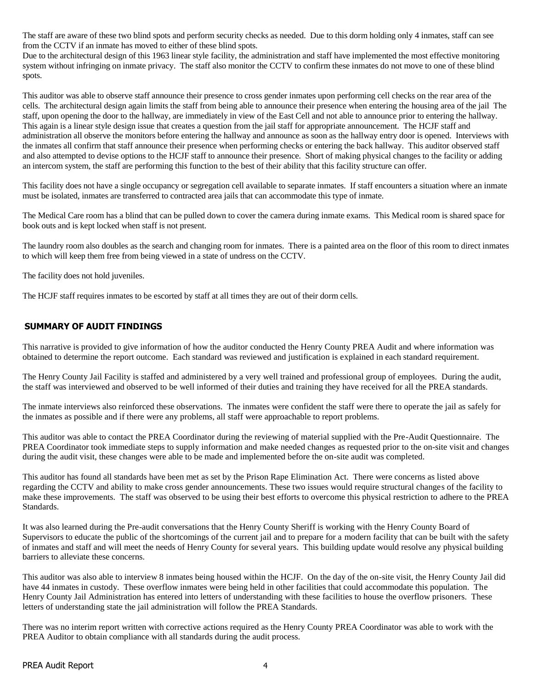The staff are aware of these two blind spots and perform security checks as needed. Due to this dorm holding only 4 inmates, staff can see from the CCTV if an inmate has moved to either of these blind spots.

Due to the architectural design of this 1963 linear style facility, the administration and staff have implemented the most effective monitoring system without infringing on inmate privacy. The staff also monitor the CCTV to confirm these inmates do not move to one of these blind spots.

This auditor was able to observe staff announce their presence to cross gender inmates upon performing cell checks on the rear area of the cells. The architectural design again limits the staff from being able to announce their presence when entering the housing area of the jail The staff, upon opening the door to the hallway, are immediately in view of the East Cell and not able to announce prior to entering the hallway. This again is a linear style design issue that creates a question from the jail staff for appropriate announcement. The HCJF staff and administration all observe the monitors before entering the hallway and announce as soon as the hallway entry door is opened. Interviews with the inmates all confirm that staff announce their presence when performing checks or entering the back hallway. This auditor observed staff and also attempted to devise options to the HCJF staff to announce their presence. Short of making physical changes to the facility or adding an intercom system, the staff are performing this function to the best of their ability that this facility structure can offer.

This facility does not have a single occupancy or segregation cell available to separate inmates. If staff encounters a situation where an inmate must be isolated, inmates are transferred to contracted area jails that can accommodate this type of inmate.

The Medical Care room has a blind that can be pulled down to cover the camera during inmate exams. This Medical room is shared space for book outs and is kept locked when staff is not present.

The laundry room also doubles as the search and changing room for inmates. There is a painted area on the floor of this room to direct inmates to which will keep them free from being viewed in a state of undress on the CCTV.

The facility does not hold juveniles.

The HCJF staff requires inmates to be escorted by staff at all times they are out of their dorm cells.

### **SUMMARY OF AUDIT FINDINGS**

This narrative is provided to give information of how the auditor conducted the Henry County PREA Audit and where information was obtained to determine the report outcome. Each standard was reviewed and justification is explained in each standard requirement.

The Henry County Jail Facility is staffed and administered by a very well trained and professional group of employees. During the audit, the staff was interviewed and observed to be well informed of their duties and training they have received for all the PREA standards.

The inmate interviews also reinforced these observations. The inmates were confident the staff were there to operate the jail as safely for the inmates as possible and if there were any problems, all staff were approachable to report problems.

This auditor was able to contact the PREA Coordinator during the reviewing of material supplied with the Pre-Audit Questionnaire. The PREA Coordinator took immediate steps to supply information and make needed changes as requested prior to the on-site visit and changes during the audit visit, these changes were able to be made and implemented before the on-site audit was completed.

This auditor has found all standards have been met as set by the Prison Rape Elimination Act. There were concerns as listed above regarding the CCTV and ability to make cross gender announcements. These two issues would require structural changes of the facility to make these improvements. The staff was observed to be using their best efforts to overcome this physical restriction to adhere to the PREA Standards.

It was also learned during the Pre-audit conversations that the Henry County Sheriff is working with the Henry County Board of Supervisors to educate the public of the shortcomings of the current jail and to prepare for a modern facility that can be built with the safety of inmates and staff and will meet the needs of Henry County for several years. This building update would resolve any physical building barriers to alleviate these concerns.

This auditor was also able to interview 8 inmates being housed within the HCJF. On the day of the on-site visit, the Henry County Jail did have 44 inmates in custody. These overflow inmates were being held in other facilities that could accommodate this population. The Henry County Jail Administration has entered into letters of understanding with these facilities to house the overflow prisoners. These letters of understanding state the jail administration will follow the PREA Standards.

There was no interim report written with corrective actions required as the Henry County PREA Coordinator was able to work with the PREA Auditor to obtain compliance with all standards during the audit process.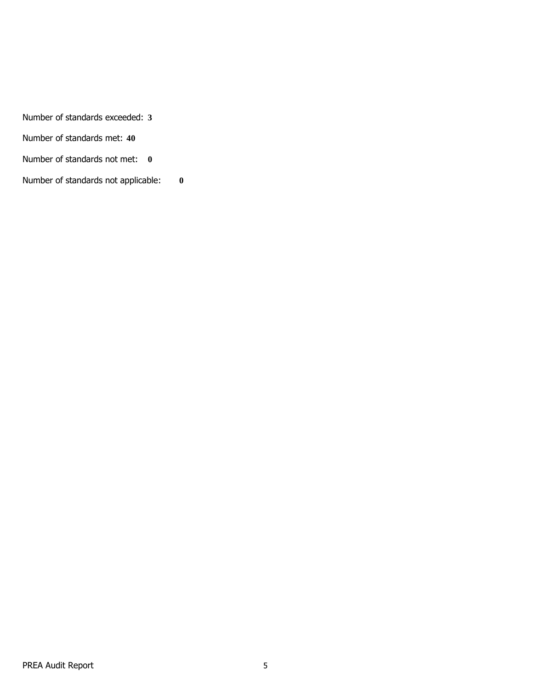Number of standards exceeded: **3**

- Number of standards met: **40**
- Number of standards not met: **0**
- Number of standards not applicable: **0**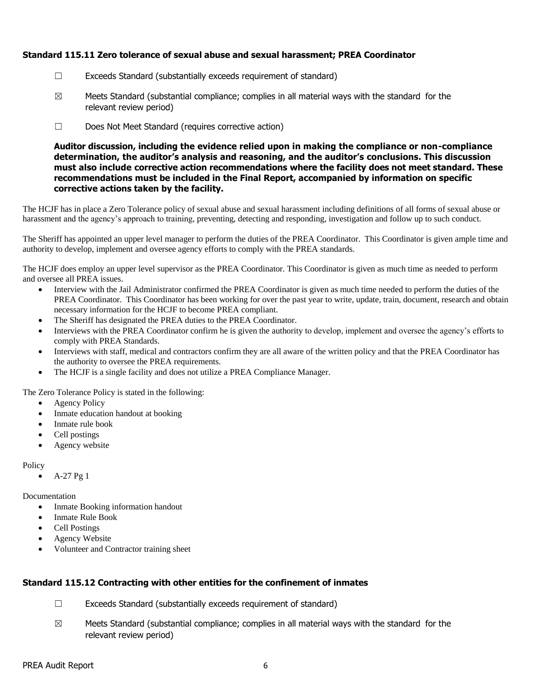## **Standard 115.11 Zero tolerance of sexual abuse and sexual harassment; PREA Coordinator**

- ☐ Exceeds Standard (substantially exceeds requirement of standard)
- $\boxtimes$  Meets Standard (substantial compliance; complies in all material ways with the standard for the relevant review period)
- ☐ Does Not Meet Standard (requires corrective action)

**Auditor discussion, including the evidence relied upon in making the compliance or non-compliance determination, the auditor's analysis and reasoning, and the auditor's conclusions. This discussion must also include corrective action recommendations where the facility does not meet standard. These recommendations must be included in the Final Report, accompanied by information on specific corrective actions taken by the facility.**

The HCJF has in place a Zero Tolerance policy of sexual abuse and sexual harassment including definitions of all forms of sexual abuse or harassment and the agency's approach to training, preventing, detecting and responding, investigation and follow up to such conduct.

The Sheriff has appointed an upper level manager to perform the duties of the PREA Coordinator. This Coordinator is given ample time and authority to develop, implement and oversee agency efforts to comply with the PREA standards.

The HCJF does employ an upper level supervisor as the PREA Coordinator. This Coordinator is given as much time as needed to perform and oversee all PREA issues.

- Interview with the Jail Administrator confirmed the PREA Coordinator is given as much time needed to perform the duties of the PREA Coordinator. This Coordinator has been working for over the past year to write, update, train, document, research and obtain necessary information for the HCJF to become PREA compliant.
- The Sheriff has designated the PREA duties to the PREA Coordinator.
- Interviews with the PREA Coordinator confirm he is given the authority to develop, implement and oversee the agency's efforts to comply with PREA Standards.
- Interviews with staff, medical and contractors confirm they are all aware of the written policy and that the PREA Coordinator has the authority to oversee the PREA requirements.
- The HCJF is a single facility and does not utilize a PREA Compliance Manager.

The Zero Tolerance Policy is stated in the following:

- Agency Policy
- Inmate education handout at booking
- Inmate rule book
- Cell postings
- Agency website

Policy

 $\bullet$  A-27 Pg 1

### Documentation

- Inmate Booking information handout
- Inmate Rule Book
- Cell Postings
- Agency Website
- Volunteer and Contractor training sheet

## **Standard 115.12 Contracting with other entities for the confinement of inmates**

- $\Box$  Exceeds Standard (substantially exceeds requirement of standard)
- $\boxtimes$  Meets Standard (substantial compliance; complies in all material ways with the standard for the relevant review period)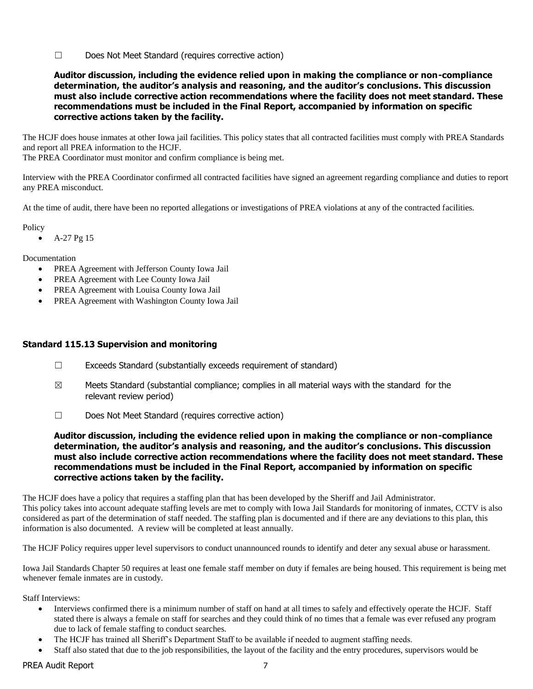☐ Does Not Meet Standard (requires corrective action)

**Auditor discussion, including the evidence relied upon in making the compliance or non-compliance determination, the auditor's analysis and reasoning, and the auditor's conclusions. This discussion must also include corrective action recommendations where the facility does not meet standard. These recommendations must be included in the Final Report, accompanied by information on specific corrective actions taken by the facility.**

The HCJF does house inmates at other Iowa jail facilities. This policy states that all contracted facilities must comply with PREA Standards and report all PREA information to the HCJF.

The PREA Coordinator must monitor and confirm compliance is being met.

Interview with the PREA Coordinator confirmed all contracted facilities have signed an agreement regarding compliance and duties to report any PREA misconduct.

At the time of audit, there have been no reported allegations or investigations of PREA violations at any of the contracted facilities.

**Policy** 

A-27 Pg 15

Documentation

- PREA Agreement with Jefferson County Iowa Jail
- PREA Agreement with Lee County Iowa Jail
- PREA Agreement with Louisa County Iowa Jail
- PREA Agreement with Washington County Iowa Jail

### **Standard 115.13 Supervision and monitoring**

- $\Box$  Exceeds Standard (substantially exceeds requirement of standard)
- $\boxtimes$  Meets Standard (substantial compliance; complies in all material ways with the standard for the relevant review period)
- ☐ Does Not Meet Standard (requires corrective action)

**Auditor discussion, including the evidence relied upon in making the compliance or non-compliance determination, the auditor's analysis and reasoning, and the auditor's conclusions. This discussion must also include corrective action recommendations where the facility does not meet standard. These recommendations must be included in the Final Report, accompanied by information on specific corrective actions taken by the facility.**

The HCJF does have a policy that requires a staffing plan that has been developed by the Sheriff and Jail Administrator. This policy takes into account adequate staffing levels are met to comply with Iowa Jail Standards for monitoring of inmates, CCTV is also considered as part of the determination of staff needed. The staffing plan is documented and if there are any deviations to this plan, this information is also documented. A review will be completed at least annually.

The HCJF Policy requires upper level supervisors to conduct unannounced rounds to identify and deter any sexual abuse or harassment.

Iowa Jail Standards Chapter 50 requires at least one female staff member on duty if females are being housed. This requirement is being met whenever female inmates are in custody.

Staff Interviews:

- Interviews confirmed there is a minimum number of staff on hand at all times to safely and effectively operate the HCJF. Staff stated there is always a female on staff for searches and they could think of no times that a female was ever refused any program due to lack of female staffing to conduct searches.
- The HCJF has trained all Sheriff's Department Staff to be available if needed to augment staffing needs.
- Staff also stated that due to the job responsibilities, the layout of the facility and the entry procedures, supervisors would be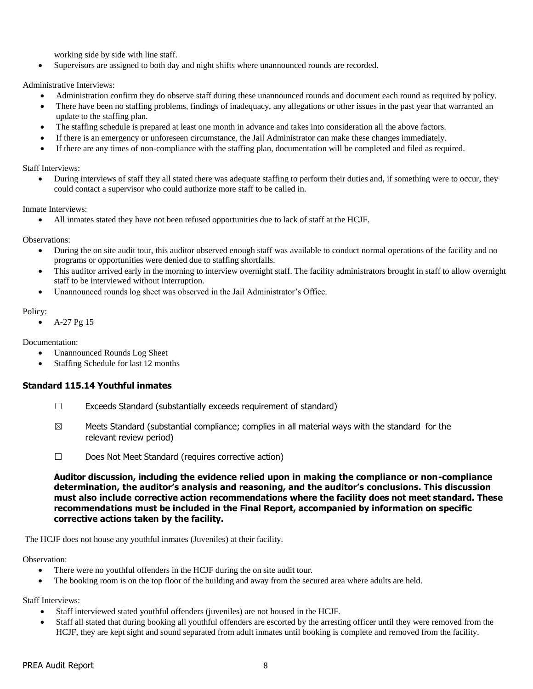working side by side with line staff.

Supervisors are assigned to both day and night shifts where unannounced rounds are recorded.

Administrative Interviews:

- Administration confirm they do observe staff during these unannounced rounds and document each round as required by policy.
- There have been no staffing problems, findings of inadequacy, any allegations or other issues in the past year that warranted an update to the staffing plan.
- The staffing schedule is prepared at least one month in advance and takes into consideration all the above factors.
- If there is an emergency or unforeseen circumstance, the Jail Administrator can make these changes immediately.
- If there are any times of non-compliance with the staffing plan, documentation will be completed and filed as required.

Staff Interviews:

 During interviews of staff they all stated there was adequate staffing to perform their duties and, if something were to occur, they could contact a supervisor who could authorize more staff to be called in.

Inmate Interviews:

All inmates stated they have not been refused opportunities due to lack of staff at the HCJF.

Observations:

- During the on site audit tour, this auditor observed enough staff was available to conduct normal operations of the facility and no programs or opportunities were denied due to staffing shortfalls.
- This auditor arrived early in the morning to interview overnight staff. The facility administrators brought in staff to allow overnight staff to be interviewed without interruption.
- Unannounced rounds log sheet was observed in the Jail Administrator's Office.

#### Policy:

 $\bullet$  A-27 Pg 15

### Documentation:

- Unannounced Rounds Log Sheet
- Staffing Schedule for last 12 months

## **Standard 115.14 Youthful inmates**

- ☐ Exceeds Standard (substantially exceeds requirement of standard)
- $\boxtimes$  Meets Standard (substantial compliance; complies in all material ways with the standard for the relevant review period)
- ☐ Does Not Meet Standard (requires corrective action)

**Auditor discussion, including the evidence relied upon in making the compliance or non-compliance determination, the auditor's analysis and reasoning, and the auditor's conclusions. This discussion must also include corrective action recommendations where the facility does not meet standard. These recommendations must be included in the Final Report, accompanied by information on specific corrective actions taken by the facility.**

The HCJF does not house any youthful inmates (Juveniles) at their facility.

Observation:

- There were no youthful offenders in the HCJF during the on site audit tour.
- The booking room is on the top floor of the building and away from the secured area where adults are held.

Staff Interviews:

- Staff interviewed stated youthful offenders (juveniles) are not housed in the HCJF.
- Staff all stated that during booking all youthful offenders are escorted by the arresting officer until they were removed from the HCJF, they are kept sight and sound separated from adult inmates until booking is complete and removed from the facility.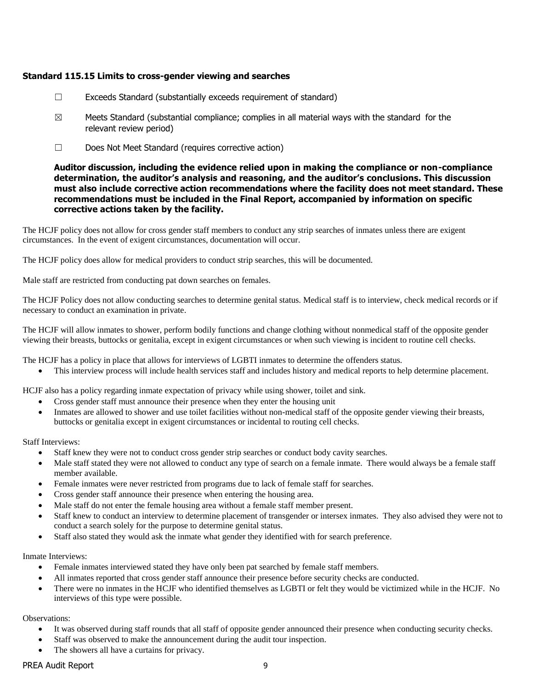## **Standard 115.15 Limits to cross-gender viewing and searches**

- $\Box$  Exceeds Standard (substantially exceeds requirement of standard)
- $\boxtimes$  Meets Standard (substantial compliance; complies in all material ways with the standard for the relevant review period)
- ☐ Does Not Meet Standard (requires corrective action)

### **Auditor discussion, including the evidence relied upon in making the compliance or non-compliance determination, the auditor's analysis and reasoning, and the auditor's conclusions. This discussion must also include corrective action recommendations where the facility does not meet standard. These recommendations must be included in the Final Report, accompanied by information on specific corrective actions taken by the facility.**

The HCJF policy does not allow for cross gender staff members to conduct any strip searches of inmates unless there are exigent circumstances. In the event of exigent circumstances, documentation will occur.

The HCJF policy does allow for medical providers to conduct strip searches, this will be documented.

Male staff are restricted from conducting pat down searches on females.

The HCJF Policy does not allow conducting searches to determine genital status. Medical staff is to interview, check medical records or if necessary to conduct an examination in private.

The HCJF will allow inmates to shower, perform bodily functions and change clothing without nonmedical staff of the opposite gender viewing their breasts, buttocks or genitalia, except in exigent circumstances or when such viewing is incident to routine cell checks.

The HCJF has a policy in place that allows for interviews of LGBTI inmates to determine the offenders status.

This interview process will include health services staff and includes history and medical reports to help determine placement.

HCJF also has a policy regarding inmate expectation of privacy while using shower, toilet and sink.

- Cross gender staff must announce their presence when they enter the housing unit
- Inmates are allowed to shower and use toilet facilities without non-medical staff of the opposite gender viewing their breasts, buttocks or genitalia except in exigent circumstances or incidental to routing cell checks.

Staff Interviews:

- Staff knew they were not to conduct cross gender strip searches or conduct body cavity searches.
- Male staff stated they were not allowed to conduct any type of search on a female inmate. There would always be a female staff member available.
- Female inmates were never restricted from programs due to lack of female staff for searches.
- Cross gender staff announce their presence when entering the housing area.
- Male staff do not enter the female housing area without a female staff member present.
- Staff knew to conduct an interview to determine placement of transgender or intersex inmates. They also advised they were not to conduct a search solely for the purpose to determine genital status.
- Staff also stated they would ask the inmate what gender they identified with for search preference.

Inmate Interviews:

- Female inmates interviewed stated they have only been pat searched by female staff members.
- All inmates reported that cross gender staff announce their presence before security checks are conducted.
- There were no inmates in the HCJF who identified themselves as LGBTI or felt they would be victimized while in the HCJF. No interviews of this type were possible.

Observations:

- It was observed during staff rounds that all staff of opposite gender announced their presence when conducting security checks.
- Staff was observed to make the announcement during the audit tour inspection.
- The showers all have a curtains for privacy.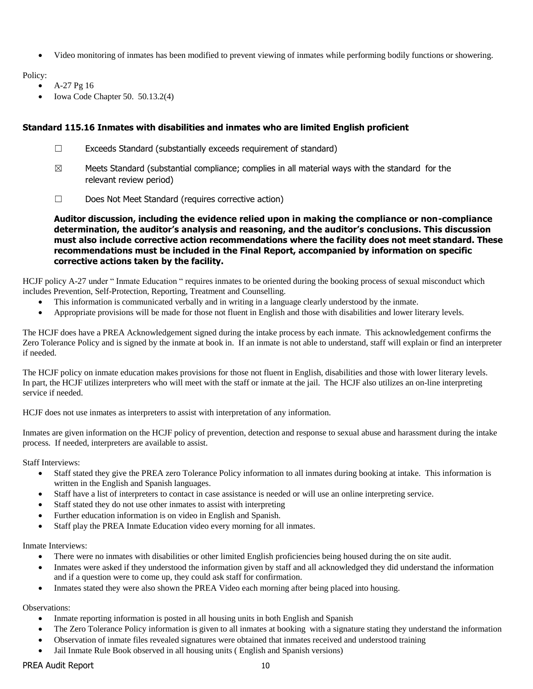Video monitoring of inmates has been modified to prevent viewing of inmates while performing bodily functions or showering.

Policy:

- $A-27$  Pg 16
- Iowa Code Chapter 50. 50.13.2(4)

## **Standard 115.16 Inmates with disabilities and inmates who are limited English proficient**

- $\Box$  Exceeds Standard (substantially exceeds requirement of standard)
- $\boxtimes$  Meets Standard (substantial compliance; complies in all material ways with the standard for the relevant review period)
- ☐ Does Not Meet Standard (requires corrective action)

**Auditor discussion, including the evidence relied upon in making the compliance or non-compliance determination, the auditor's analysis and reasoning, and the auditor's conclusions. This discussion must also include corrective action recommendations where the facility does not meet standard. These recommendations must be included in the Final Report, accompanied by information on specific corrective actions taken by the facility.**

HCJF policy A-27 under " Inmate Education " requires inmates to be oriented during the booking process of sexual misconduct which includes Prevention, Self-Protection, Reporting, Treatment and Counselling.

- This information is communicated verbally and in writing in a language clearly understood by the inmate.
- Appropriate provisions will be made for those not fluent in English and those with disabilities and lower literary levels.

The HCJF does have a PREA Acknowledgement signed during the intake process by each inmate. This acknowledgement confirms the Zero Tolerance Policy and is signed by the inmate at book in. If an inmate is not able to understand, staff will explain or find an interpreter if needed.

The HCJF policy on inmate education makes provisions for those not fluent in English, disabilities and those with lower literary levels. In part, the HCJF utilizes interpreters who will meet with the staff or inmate at the jail. The HCJF also utilizes an on-line interpreting service if needed.

HCJF does not use inmates as interpreters to assist with interpretation of any information.

Inmates are given information on the HCJF policy of prevention, detection and response to sexual abuse and harassment during the intake process. If needed, interpreters are available to assist.

Staff Interviews:

- Staff stated they give the PREA zero Tolerance Policy information to all inmates during booking at intake. This information is written in the English and Spanish languages.
- Staff have a list of interpreters to contact in case assistance is needed or will use an online interpreting service.
- Staff stated they do not use other inmates to assist with interpreting
- Further education information is on video in English and Spanish.
- Staff play the PREA Inmate Education video every morning for all inmates.

### Inmate Interviews:

- There were no inmates with disabilities or other limited English proficiencies being housed during the on site audit.
- Inmates were asked if they understood the information given by staff and all acknowledged they did understand the information and if a question were to come up, they could ask staff for confirmation.
- Inmates stated they were also shown the PREA Video each morning after being placed into housing.

Observations:

- Inmate reporting information is posted in all housing units in both English and Spanish
- The Zero Tolerance Policy information is given to all inmates at booking with a signature stating they understand the information
- Observation of inmate files revealed signatures were obtained that inmates received and understood training
- Jail Inmate Rule Book observed in all housing units ( English and Spanish versions)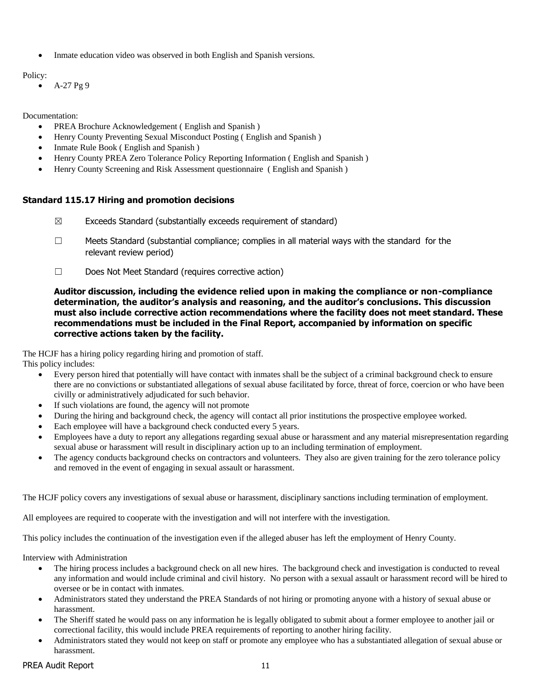• Inmate education video was observed in both English and Spanish versions.

### Policy:

 $\bullet$  A-27 Pg 9

Documentation:

- PREA Brochure Acknowledgement (English and Spanish)
- Henry County Preventing Sexual Misconduct Posting ( English and Spanish )
- Inmate Rule Book (English and Spanish)
- Henry County PREA Zero Tolerance Policy Reporting Information ( English and Spanish )
- Henry County Screening and Risk Assessment questionnaire ( English and Spanish )

## **Standard 115.17 Hiring and promotion decisions**

- $\boxtimes$  Exceeds Standard (substantially exceeds requirement of standard)
- $\Box$  Meets Standard (substantial compliance; complies in all material ways with the standard for the relevant review period)
- ☐ Does Not Meet Standard (requires corrective action)

### **Auditor discussion, including the evidence relied upon in making the compliance or non-compliance determination, the auditor's analysis and reasoning, and the auditor's conclusions. This discussion must also include corrective action recommendations where the facility does not meet standard. These recommendations must be included in the Final Report, accompanied by information on specific corrective actions taken by the facility.**

The HCJF has a hiring policy regarding hiring and promotion of staff.

This policy includes:

- Every person hired that potentially will have contact with inmates shall be the subject of a criminal background check to ensure there are no convictions or substantiated allegations of sexual abuse facilitated by force, threat of force, coercion or who have been civilly or administratively adjudicated for such behavior.
- If such violations are found, the agency will not promote
- During the hiring and background check, the agency will contact all prior institutions the prospective employee worked.
- Each employee will have a background check conducted every 5 years.
- Employees have a duty to report any allegations regarding sexual abuse or harassment and any material misrepresentation regarding sexual abuse or harassment will result in disciplinary action up to an including termination of employment.
- The agency conducts background checks on contractors and volunteers. They also are given training for the zero tolerance policy and removed in the event of engaging in sexual assault or harassment.

The HCJF policy covers any investigations of sexual abuse or harassment, disciplinary sanctions including termination of employment.

All employees are required to cooperate with the investigation and will not interfere with the investigation.

This policy includes the continuation of the investigation even if the alleged abuser has left the employment of Henry County.

Interview with Administration

- The hiring process includes a background check on all new hires. The background check and investigation is conducted to reveal any information and would include criminal and civil history. No person with a sexual assault or harassment record will be hired to oversee or be in contact with inmates.
- Administrators stated they understand the PREA Standards of not hiring or promoting anyone with a history of sexual abuse or harassment.
- The Sheriff stated he would pass on any information he is legally obligated to submit about a former employee to another jail or correctional facility, this would include PREA requirements of reporting to another hiring facility.
- Administrators stated they would not keep on staff or promote any employee who has a substantiated allegation of sexual abuse or harassment.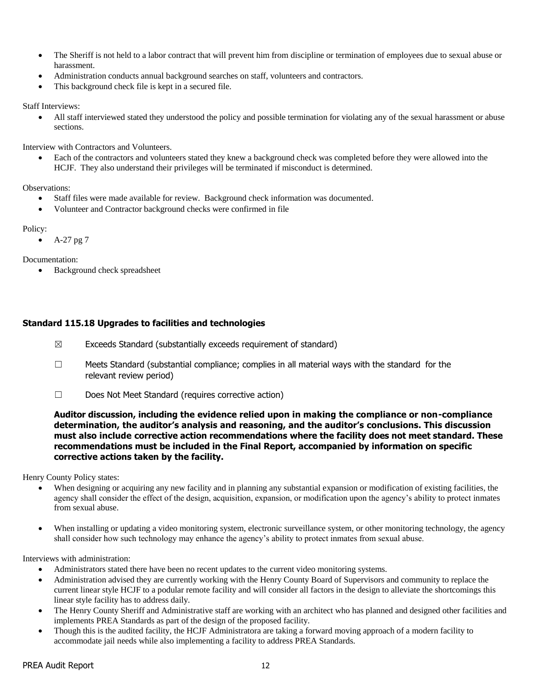- The Sheriff is not held to a labor contract that will prevent him from discipline or termination of employees due to sexual abuse or harassment.
- Administration conducts annual background searches on staff, volunteers and contractors.
- This background check file is kept in a secured file.

Staff Interviews:

 All staff interviewed stated they understood the policy and possible termination for violating any of the sexual harassment or abuse sections.

Interview with Contractors and Volunteers.

 Each of the contractors and volunteers stated they knew a background check was completed before they were allowed into the HCJF. They also understand their privileges will be terminated if misconduct is determined.

Observations:

- Staff files were made available for review. Background check information was documented.
- Volunteer and Contractor background checks were confirmed in file

Policy:

 $\bullet$  A-27 pg 7

Documentation:

• Background check spreadsheet

## **Standard 115.18 Upgrades to facilities and technologies**

- $\boxtimes$  Exceeds Standard (substantially exceeds requirement of standard)
- $\Box$  Meets Standard (substantial compliance; complies in all material ways with the standard for the relevant review period)
- ☐ Does Not Meet Standard (requires corrective action)

**Auditor discussion, including the evidence relied upon in making the compliance or non-compliance determination, the auditor's analysis and reasoning, and the auditor's conclusions. This discussion must also include corrective action recommendations where the facility does not meet standard. These recommendations must be included in the Final Report, accompanied by information on specific corrective actions taken by the facility.**

Henry County Policy states:

- When designing or acquiring any new facility and in planning any substantial expansion or modification of existing facilities, the agency shall consider the effect of the design, acquisition, expansion, or modification upon the agency's ability to protect inmates from sexual abuse.
- When installing or updating a video monitoring system, electronic surveillance system, or other monitoring technology, the agency shall consider how such technology may enhance the agency's ability to protect inmates from sexual abuse.

Interviews with administration:

- Administrators stated there have been no recent updates to the current video monitoring systems.
- Administration advised they are currently working with the Henry County Board of Supervisors and community to replace the current linear style HCJF to a podular remote facility and will consider all factors in the design to alleviate the shortcomings this linear style facility has to address daily.
- The Henry County Sheriff and Administrative staff are working with an architect who has planned and designed other facilities and implements PREA Standards as part of the design of the proposed facility.
- Though this is the audited facility, the HCJF Administratora are taking a forward moving approach of a modern facility to accommodate jail needs while also implementing a facility to address PREA Standards.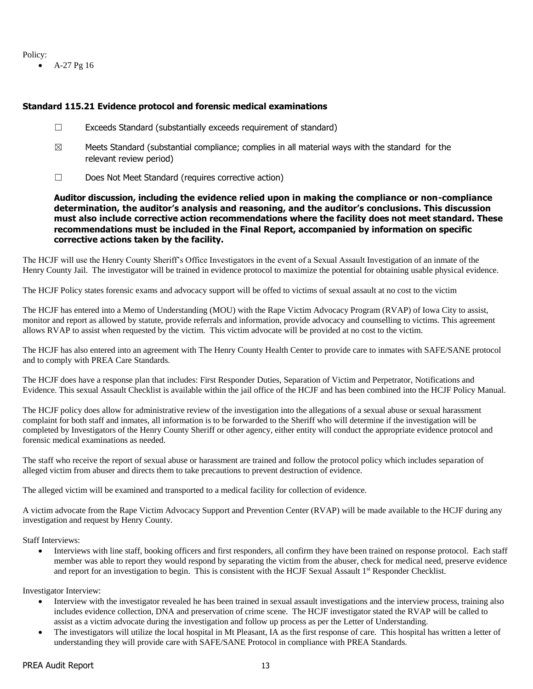Policy:

 $A-27$  Pg 16

### **Standard 115.21 Evidence protocol and forensic medical examinations**

- $\Box$  Exceeds Standard (substantially exceeds requirement of standard)
- $\boxtimes$  Meets Standard (substantial compliance; complies in all material ways with the standard for the relevant review period)
- ☐ Does Not Meet Standard (requires corrective action)

**Auditor discussion, including the evidence relied upon in making the compliance or non-compliance determination, the auditor's analysis and reasoning, and the auditor's conclusions. This discussion must also include corrective action recommendations where the facility does not meet standard. These recommendations must be included in the Final Report, accompanied by information on specific corrective actions taken by the facility.**

The HCJF will use the Henry County Sheriff's Office Investigators in the event of a Sexual Assault Investigation of an inmate of the Henry County Jail. The investigator will be trained in evidence protocol to maximize the potential for obtaining usable physical evidence.

The HCJF Policy states forensic exams and advocacy support will be offed to victims of sexual assault at no cost to the victim

The HCJF has entered into a Memo of Understanding (MOU) with the Rape Victim Advocacy Program (RVAP) of Iowa City to assist, monitor and report as allowed by statute, provide referrals and information, provide advocacy and counselling to victims. This agreement allows RVAP to assist when requested by the victim. This victim advocate will be provided at no cost to the victim.

The HCJF has also entered into an agreement with The Henry County Health Center to provide care to inmates with SAFE/SANE protocol and to comply with PREA Care Standards.

The HCJF does have a response plan that includes: First Responder Duties, Separation of Victim and Perpetrator, Notifications and Evidence. This sexual Assault Checklist is available within the jail office of the HCJF and has been combined into the HCJF Policy Manual.

The HCJF policy does allow for administrative review of the investigation into the allegations of a sexual abuse or sexual harassment complaint for both staff and inmates, all information is to be forwarded to the Sheriff who will determine if the investigation will be completed by Investigators of the Henry County Sheriff or other agency, either entity will conduct the appropriate evidence protocol and forensic medical examinations as needed.

The staff who receive the report of sexual abuse or harassment are trained and follow the protocol policy which includes separation of alleged victim from abuser and directs them to take precautions to prevent destruction of evidence.

The alleged victim will be examined and transported to a medical facility for collection of evidence.

A victim advocate from the Rape Victim Advocacy Support and Prevention Center (RVAP) will be made available to the HCJF during any investigation and request by Henry County.

Staff Interviews:

 Interviews with line staff, booking officers and first responders, all confirm they have been trained on response protocol. Each staff member was able to report they would respond by separating the victim from the abuser, check for medical need, preserve evidence and report for an investigation to begin. This is consistent with the HCJF Sexual Assault 1<sup>st</sup> Responder Checklist.

Investigator Interview:

- Interview with the investigator revealed he has been trained in sexual assault investigations and the interview process, training also includes evidence collection, DNA and preservation of crime scene. The HCJF investigator stated the RVAP will be called to assist as a victim advocate during the investigation and follow up process as per the Letter of Understanding.
- The investigators will utilize the local hospital in Mt Pleasant, IA as the first response of care. This hospital has written a letter of understanding they will provide care with SAFE/SANE Protocol in compliance with PREA Standards.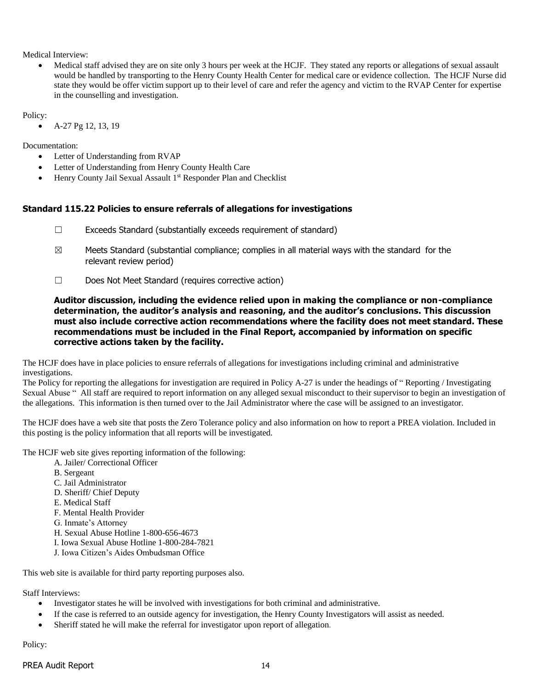Medical Interview:

 Medical staff advised they are on site only 3 hours per week at the HCJF. They stated any reports or allegations of sexual assault would be handled by transporting to the Henry County Health Center for medical care or evidence collection. The HCJF Nurse did state they would be offer victim support up to their level of care and refer the agency and victim to the RVAP Center for expertise in the counselling and investigation.

Policy:

A-27 Pg 12, 13, 19

Documentation:

- Letter of Understanding from RVAP
- Letter of Understanding from Henry County Health Care
- $\bullet$  Henry County Jail Sexual Assault 1<sup>st</sup> Responder Plan and Checklist

### **Standard 115.22 Policies to ensure referrals of allegations for investigations**

- ☐ Exceeds Standard (substantially exceeds requirement of standard)
- $\boxtimes$  Meets Standard (substantial compliance; complies in all material ways with the standard for the relevant review period)
- ☐ Does Not Meet Standard (requires corrective action)

**Auditor discussion, including the evidence relied upon in making the compliance or non-compliance determination, the auditor's analysis and reasoning, and the auditor's conclusions. This discussion must also include corrective action recommendations where the facility does not meet standard. These recommendations must be included in the Final Report, accompanied by information on specific corrective actions taken by the facility.**

The HCJF does have in place policies to ensure referrals of allegations for investigations including criminal and administrative investigations.

The Policy for reporting the allegations for investigation are required in Policy A-27 is under the headings of " Reporting / Investigating Sexual Abuse " All staff are required to report information on any alleged sexual misconduct to their supervisor to begin an investigation of the allegations. This information is then turned over to the Jail Administrator where the case will be assigned to an investigator.

The HCJF does have a web site that posts the Zero Tolerance policy and also information on how to report a PREA violation. Included in this posting is the policy information that all reports will be investigated.

The HCJF web site gives reporting information of the following:

- A. Jailer/ Correctional Officer
- B. Sergeant
- C. Jail Administrator
- D. Sheriff/ Chief Deputy
- E. Medical Staff
- F. Mental Health Provider
- G. Inmate's Attorney
- H. Sexual Abuse Hotline 1-800-656-4673
- I. Iowa Sexual Abuse Hotline 1-800-284-7821
- J. Iowa Citizen's Aides Ombudsman Office

This web site is available for third party reporting purposes also.

Staff Interviews:

- Investigator states he will be involved with investigations for both criminal and administrative.
- If the case is referred to an outside agency for investigation, the Henry County Investigators will assist as needed.
- Sheriff stated he will make the referral for investigator upon report of allegation.

Policy: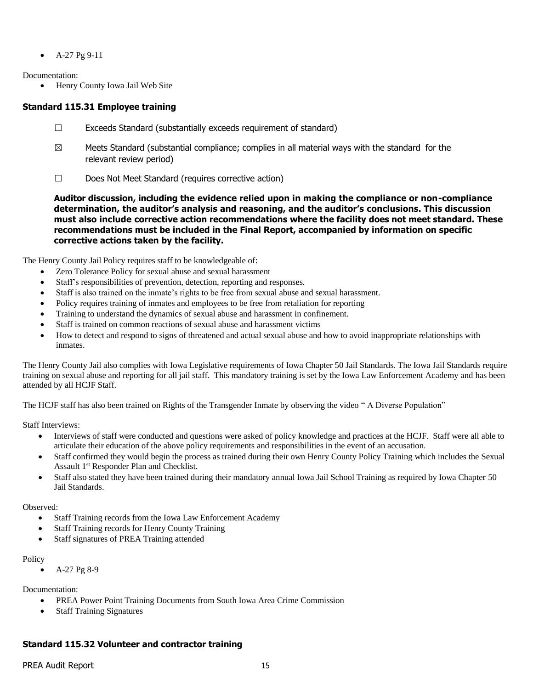$A-27$  Pg 9-11

Documentation:

Henry County Iowa Jail Web Site

## **Standard 115.31 Employee training**

- ☐ Exceeds Standard (substantially exceeds requirement of standard)
- $\boxtimes$  Meets Standard (substantial compliance; complies in all material ways with the standard for the relevant review period)
- ☐ Does Not Meet Standard (requires corrective action)

**Auditor discussion, including the evidence relied upon in making the compliance or non-compliance determination, the auditor's analysis and reasoning, and the auditor's conclusions. This discussion must also include corrective action recommendations where the facility does not meet standard. These recommendations must be included in the Final Report, accompanied by information on specific corrective actions taken by the facility.**

The Henry County Jail Policy requires staff to be knowledgeable of:

- Zero Tolerance Policy for sexual abuse and sexual harassment
- Staff's responsibilities of prevention, detection, reporting and responses.
- Staff is also trained on the inmate's rights to be free from sexual abuse and sexual harassment.
- Policy requires training of inmates and employees to be free from retaliation for reporting
- Training to understand the dynamics of sexual abuse and harassment in confinement.
- Staff is trained on common reactions of sexual abuse and harassment victims
- How to detect and respond to signs of threatened and actual sexual abuse and how to avoid inappropriate relationships with inmates.

The Henry County Jail also complies with Iowa Legislative requirements of Iowa Chapter 50 Jail Standards. The Iowa Jail Standards require training on sexual abuse and reporting for all jail staff. This mandatory training is set by the Iowa Law Enforcement Academy and has been attended by all HCJF Staff.

The HCJF staff has also been trained on Rights of the Transgender Inmate by observing the video " A Diverse Population"

Staff Interviews:

- Interviews of staff were conducted and questions were asked of policy knowledge and practices at the HCJF. Staff were all able to articulate their education of the above policy requirements and responsibilities in the event of an accusation.
- Staff confirmed they would begin the process as trained during their own Henry County Policy Training which includes the Sexual Assault 1 st Responder Plan and Checklist.
- Staff also stated they have been trained during their mandatory annual Iowa Jail School Training as required by Iowa Chapter 50 Jail Standards.

### Observed:

- Staff Training records from the Iowa Law Enforcement Academy
- Staff Training records for Henry County Training
- Staff signatures of PREA Training attended

### Policy

A-27 Pg 8-9

Documentation:

- PREA Power Point Training Documents from South Iowa Area Crime Commission
- Staff Training Signatures

## **Standard 115.32 Volunteer and contractor training**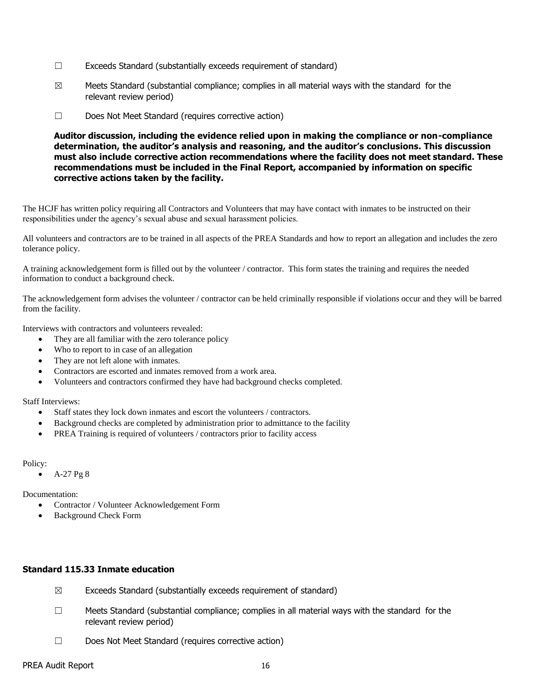- $\Box$  Exceeds Standard (substantially exceeds requirement of standard)
- $\boxtimes$  Meets Standard (substantial compliance; complies in all material ways with the standard for the relevant review period)
- ☐ Does Not Meet Standard (requires corrective action)

### **Auditor discussion, including the evidence relied upon in making the compliance or non-compliance determination, the auditor's analysis and reasoning, and the auditor's conclusions. This discussion must also include corrective action recommendations where the facility does not meet standard. These recommendations must be included in the Final Report, accompanied by information on specific corrective actions taken by the facility.**

The HCJF has written policy requiring all Contractors and Volunteers that may have contact with inmates to be instructed on their responsibilities under the agency's sexual abuse and sexual harassment policies.

All volunteers and contractors are to be trained in all aspects of the PREA Standards and how to report an allegation and includes the zero tolerance policy.

A training acknowledgement form is filled out by the volunteer / contractor. This form states the training and requires the needed information to conduct a background check.

The acknowledgement form advises the volunteer / contractor can be held criminally responsible if violations occur and they will be barred from the facility.

Interviews with contractors and volunteers revealed:

- They are all familiar with the zero tolerance policy
- Who to report to in case of an allegation
- They are not left alone with inmates.
- Contractors are escorted and inmates removed from a work area.
- Volunteers and contractors confirmed they have had background checks completed.

Staff Interviews:

- Staff states they lock down inmates and escort the volunteers / contractors.
- Background checks are completed by administration prior to admittance to the facility
- PREA Training is required of volunteers / contractors prior to facility access

Policy:

 $A-27$  Pg 8

Documentation:

- Contractor / Volunteer Acknowledgement Form
- Background Check Form

### **Standard 115.33 Inmate education**

- $\boxtimes$  Exceeds Standard (substantially exceeds requirement of standard)
- $\Box$  Meets Standard (substantial compliance; complies in all material ways with the standard for the relevant review period)
- ☐ Does Not Meet Standard (requires corrective action)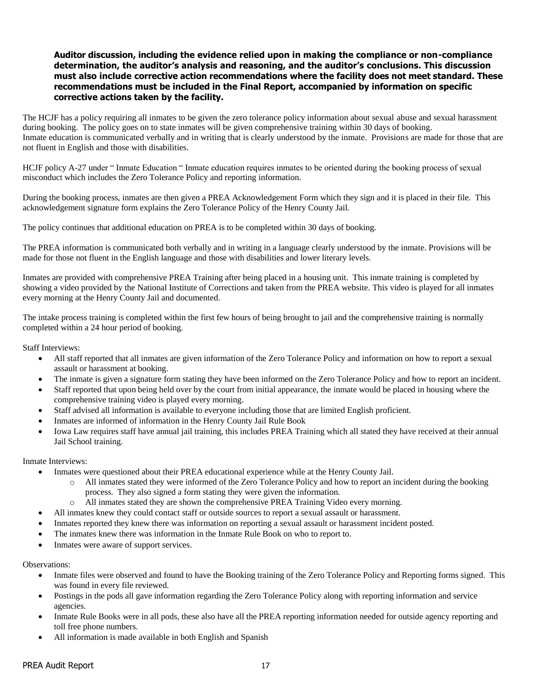### **Auditor discussion, including the evidence relied upon in making the compliance or non-compliance determination, the auditor's analysis and reasoning, and the auditor's conclusions. This discussion must also include corrective action recommendations where the facility does not meet standard. These recommendations must be included in the Final Report, accompanied by information on specific corrective actions taken by the facility.**

The HCJF has a policy requiring all inmates to be given the zero tolerance policy information about sexual abuse and sexual harassment during booking. The policy goes on to state inmates will be given comprehensive training within 30 days of booking. Inmate education is communicated verbally and in writing that is clearly understood by the inmate. Provisions are made for those that are not fluent in English and those with disabilities.

HCJF policy A-27 under " Inmate Education " Inmate education requires inmates to be oriented during the booking process of sexual misconduct which includes the Zero Tolerance Policy and reporting information.

During the booking process, inmates are then given a PREA Acknowledgement Form which they sign and it is placed in their file. This acknowledgement signature form explains the Zero Tolerance Policy of the Henry County Jail.

The policy continues that additional education on PREA is to be completed within 30 days of booking.

The PREA information is communicated both verbally and in writing in a language clearly understood by the inmate. Provisions will be made for those not fluent in the English language and those with disabilities and lower literary levels.

Inmates are provided with comprehensive PREA Training after being placed in a housing unit. This inmate training is completed by showing a video provided by the National Institute of Corrections and taken from the PREA website. This video is played for all inmates every morning at the Henry County Jail and documented.

The intake process training is completed within the first few hours of being brought to jail and the comprehensive training is normally completed within a 24 hour period of booking.

Staff Interviews:

- All staff reported that all inmates are given information of the Zero Tolerance Policy and information on how to report a sexual assault or harassment at booking.
- The inmate is given a signature form stating they have been informed on the Zero Tolerance Policy and how to report an incident.
- Staff reported that upon being held over by the court from initial appearance, the inmate would be placed in housing where the comprehensive training video is played every morning.
- Staff advised all information is available to everyone including those that are limited English proficient.
- Inmates are informed of information in the Henry County Jail Rule Book
- Iowa Law requires staff have annual jail training, this includes PREA Training which all stated they have received at their annual Jail School training.

Inmate Interviews:

- Inmates were questioned about their PREA educational experience while at the Henry County Jail.
	- o All inmates stated they were informed of the Zero Tolerance Policy and how to report an incident during the booking process. They also signed a form stating they were given the information.
	- o All inmates stated they are shown the comprehensive PREA Training Video every morning.
- All inmates knew they could contact staff or outside sources to report a sexual assault or harassment.
- Inmates reported they knew there was information on reporting a sexual assault or harassment incident posted.
- The inmates knew there was information in the Inmate Rule Book on who to report to.
- Inmates were aware of support services.

#### Observations:

- Inmate files were observed and found to have the Booking training of the Zero Tolerance Policy and Reporting forms signed. This was found in every file reviewed.
- Postings in the pods all gave information regarding the Zero Tolerance Policy along with reporting information and service agencies.
- Inmate Rule Books were in all pods, these also have all the PREA reporting information needed for outside agency reporting and toll free phone numbers.
- All information is made available in both English and Spanish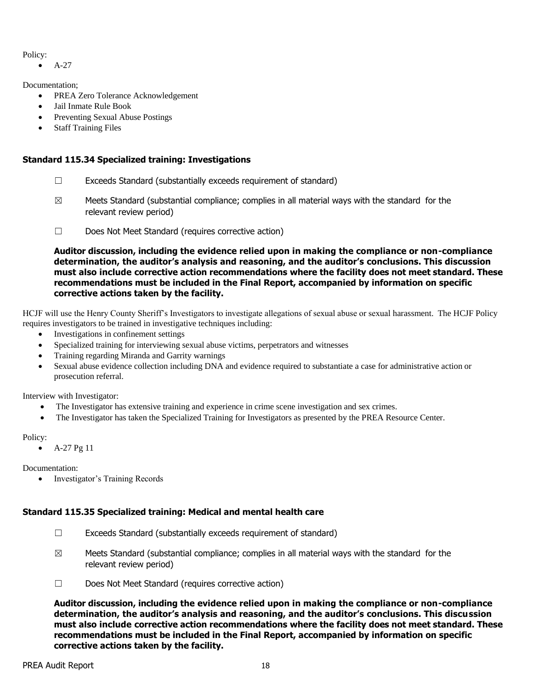## Policy:

 $A-27$ 

## Documentation;

- PREA Zero Tolerance Acknowledgement
- Jail Inmate Rule Book
- Preventing Sexual Abuse Postings
- Staff Training Files

## **Standard 115.34 Specialized training: Investigations**

- ☐ Exceeds Standard (substantially exceeds requirement of standard)
- $\boxtimes$  Meets Standard (substantial compliance; complies in all material ways with the standard for the relevant review period)
- ☐ Does Not Meet Standard (requires corrective action)

**Auditor discussion, including the evidence relied upon in making the compliance or non-compliance determination, the auditor's analysis and reasoning, and the auditor's conclusions. This discussion must also include corrective action recommendations where the facility does not meet standard. These recommendations must be included in the Final Report, accompanied by information on specific corrective actions taken by the facility.**

HCJF will use the Henry County Sheriff's Investigators to investigate allegations of sexual abuse or sexual harassment. The HCJF Policy requires investigators to be trained in investigative techniques including:

- Investigations in confinement settings
- Specialized training for interviewing sexual abuse victims, perpetrators and witnesses
- Training regarding Miranda and Garrity warnings
- Sexual abuse evidence collection including DNA and evidence required to substantiate a case for administrative action or prosecution referral.

Interview with Investigator:

- The Investigator has extensive training and experience in crime scene investigation and sex crimes.
- The Investigator has taken the Specialized Training for Investigators as presented by the PREA Resource Center.

### Policy:

 $\bullet$  A-27 Pg 11

Documentation:

• Investigator's Training Records

## **Standard 115.35 Specialized training: Medical and mental health care**

- $\Box$  Exceeds Standard (substantially exceeds requirement of standard)
- $\boxtimes$  Meets Standard (substantial compliance; complies in all material ways with the standard for the relevant review period)
- ☐ Does Not Meet Standard (requires corrective action)

**Auditor discussion, including the evidence relied upon in making the compliance or non-compliance determination, the auditor's analysis and reasoning, and the auditor's conclusions. This discussion must also include corrective action recommendations where the facility does not meet standard. These recommendations must be included in the Final Report, accompanied by information on specific corrective actions taken by the facility.**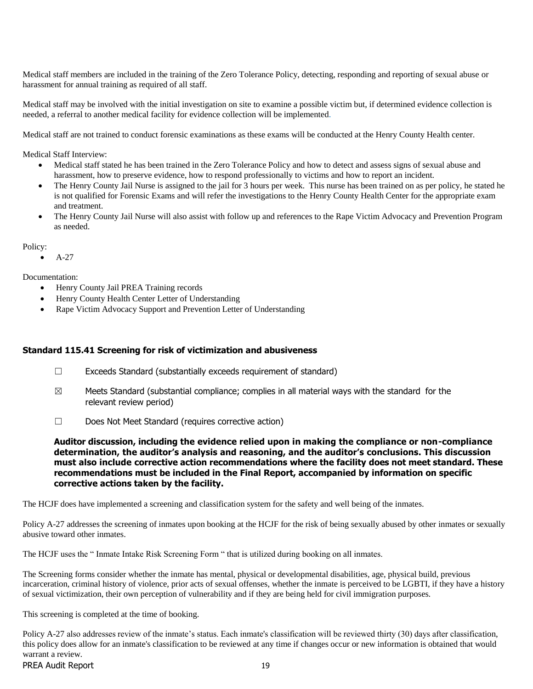Medical staff members are included in the training of the Zero Tolerance Policy, detecting, responding and reporting of sexual abuse or harassment for annual training as required of all staff.

Medical staff may be involved with the initial investigation on site to examine a possible victim but, if determined evidence collection is needed, a referral to another medical facility for evidence collection will be implemented.

Medical staff are not trained to conduct forensic examinations as these exams will be conducted at the Henry County Health center.

Medical Staff Interview:

- Medical staff stated he has been trained in the Zero Tolerance Policy and how to detect and assess signs of sexual abuse and harassment, how to preserve evidence, how to respond professionally to victims and how to report an incident.
- The Henry County Jail Nurse is assigned to the jail for 3 hours per week. This nurse has been trained on as per policy, he stated he is not qualified for Forensic Exams and will refer the investigations to the Henry County Health Center for the appropriate exam and treatment.
- The Henry County Jail Nurse will also assist with follow up and references to the Rape Victim Advocacy and Prevention Program as needed.

### Policy:

A-27

#### Documentation:

- Henry County Jail PREA Training records
- Henry County Health Center Letter of Understanding
- Rape Victim Advocacy Support and Prevention Letter of Understanding

### **Standard 115.41 Screening for risk of victimization and abusiveness**

- $\Box$  Exceeds Standard (substantially exceeds requirement of standard)
- $\boxtimes$  Meets Standard (substantial compliance; complies in all material ways with the standard for the relevant review period)
- ☐ Does Not Meet Standard (requires corrective action)

**Auditor discussion, including the evidence relied upon in making the compliance or non-compliance determination, the auditor's analysis and reasoning, and the auditor's conclusions. This discussion must also include corrective action recommendations where the facility does not meet standard. These recommendations must be included in the Final Report, accompanied by information on specific corrective actions taken by the facility.**

The HCJF does have implemented a screening and classification system for the safety and well being of the inmates.

Policy A-27 addresses the screening of inmates upon booking at the HCJF for the risk of being sexually abused by other inmates or sexually abusive toward other inmates.

The HCJF uses the " Inmate Intake Risk Screening Form " that is utilized during booking on all inmates.

The Screening forms consider whether the inmate has mental, physical or developmental disabilities, age, physical build, previous incarceration, criminal history of violence, prior acts of sexual offenses, whether the inmate is perceived to be LGBTI, if they have a history of sexual victimization, their own perception of vulnerability and if they are being held for civil immigration purposes.

This screening is completed at the time of booking.

PREA Audit Report 19 Policy A-27 also addresses review of the inmate's status. Each inmate's classification will be reviewed thirty (30) days after classification, this policy does allow for an inmate's classification to be reviewed at any time if changes occur or new information is obtained that would warrant a review.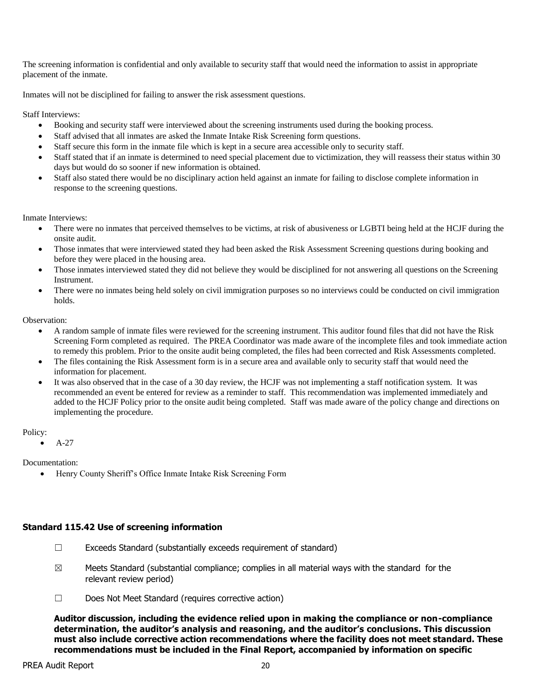The screening information is confidential and only available to security staff that would need the information to assist in appropriate placement of the inmate.

Inmates will not be disciplined for failing to answer the risk assessment questions.

Staff Interviews:

- Booking and security staff were interviewed about the screening instruments used during the booking process.
- Staff advised that all inmates are asked the Inmate Intake Risk Screening form questions.
- Staff secure this form in the inmate file which is kept in a secure area accessible only to security staff.
- Staff stated that if an inmate is determined to need special placement due to victimization, they will reassess their status within 30 days but would do so sooner if new information is obtained.
- Staff also stated there would be no disciplinary action held against an inmate for failing to disclose complete information in response to the screening questions.

Inmate Interviews:

- There were no inmates that perceived themselves to be victims, at risk of abusiveness or LGBTI being held at the HCJF during the onsite audit.
- Those inmates that were interviewed stated they had been asked the Risk Assessment Screening questions during booking and before they were placed in the housing area.
- Those inmates interviewed stated they did not believe they would be disciplined for not answering all questions on the Screening Instrument.
- There were no inmates being held solely on civil immigration purposes so no interviews could be conducted on civil immigration holds.

Observation:

- A random sample of inmate files were reviewed for the screening instrument. This auditor found files that did not have the Risk Screening Form completed as required. The PREA Coordinator was made aware of the incomplete files and took immediate action to remedy this problem. Prior to the onsite audit being completed, the files had been corrected and Risk Assessments completed.
- The files containing the Risk Assessment form is in a secure area and available only to security staff that would need the information for placement.
- It was also observed that in the case of a 30 day review, the HCJF was not implementing a staff notification system. It was recommended an event be entered for review as a reminder to staff. This recommendation was implemented immediately and added to the HCJF Policy prior to the onsite audit being completed. Staff was made aware of the policy change and directions on implementing the procedure.

Policy:

A-27

Documentation:

Henry County Sheriff's Office Inmate Intake Risk Screening Form

## **Standard 115.42 Use of screening information**

- $\Box$  Exceeds Standard (substantially exceeds requirement of standard)
- $\boxtimes$  Meets Standard (substantial compliance; complies in all material ways with the standard for the relevant review period)
- ☐ Does Not Meet Standard (requires corrective action)

**Auditor discussion, including the evidence relied upon in making the compliance or non-compliance determination, the auditor's analysis and reasoning, and the auditor's conclusions. This discussion must also include corrective action recommendations where the facility does not meet standard. These recommendations must be included in the Final Report, accompanied by information on specific**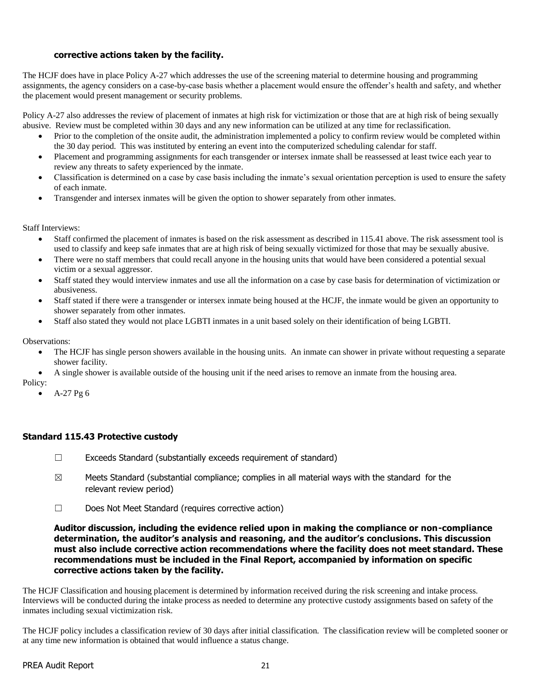## **corrective actions taken by the facility.**

The HCJF does have in place Policy A-27 which addresses the use of the screening material to determine housing and programming assignments, the agency considers on a case-by-case basis whether a placement would ensure the offender's health and safety, and whether the placement would present management or security problems.

Policy A-27 also addresses the review of placement of inmates at high risk for victimization or those that are at high risk of being sexually abusive. Review must be completed within 30 days and any new information can be utilized at any time for reclassification.

- Prior to the completion of the onsite audit, the administration implemented a policy to confirm review would be completed within the 30 day period. This was instituted by entering an event into the computerized scheduling calendar for staff.
- Placement and programming assignments for each transgender or intersex inmate shall be reassessed at least twice each year to review any threats to safety experienced by the inmate.
- Classification is determined on a case by case basis including the inmate's sexual orientation perception is used to ensure the safety of each inmate.
- Transgender and intersex inmates will be given the option to shower separately from other inmates.

Staff Interviews:

- Staff confirmed the placement of inmates is based on the risk assessment as described in 115.41 above. The risk assessment tool is used to classify and keep safe inmates that are at high risk of being sexually victimized for those that may be sexually abusive.
- There were no staff members that could recall anyone in the housing units that would have been considered a potential sexual victim or a sexual aggressor.
- Staff stated they would interview inmates and use all the information on a case by case basis for determination of victimization or abusiveness.
- Staff stated if there were a transgender or intersex inmate being housed at the HCJF, the inmate would be given an opportunity to shower separately from other inmates.
- Staff also stated they would not place LGBTI inmates in a unit based solely on their identification of being LGBTI.

Observations:

- The HCJF has single person showers available in the housing units. An inmate can shower in private without requesting a separate shower facility.
- A single shower is available outside of the housing unit if the need arises to remove an inmate from the housing area.

Policy:

 $A-27$  Pg 6

## **Standard 115.43 Protective custody**

- ☐ Exceeds Standard (substantially exceeds requirement of standard)
- $\boxtimes$  Meets Standard (substantial compliance; complies in all material ways with the standard for the relevant review period)
- ☐ Does Not Meet Standard (requires corrective action)

**Auditor discussion, including the evidence relied upon in making the compliance or non-compliance determination, the auditor's analysis and reasoning, and the auditor's conclusions. This discussion must also include corrective action recommendations where the facility does not meet standard. These recommendations must be included in the Final Report, accompanied by information on specific corrective actions taken by the facility.**

The HCJF Classification and housing placement is determined by information received during the risk screening and intake process. Interviews will be conducted during the intake process as needed to determine any protective custody assignments based on safety of the inmates including sexual victimization risk.

The HCJF policy includes a classification review of 30 days after initial classification. The classification review will be completed sooner or at any time new information is obtained that would influence a status change.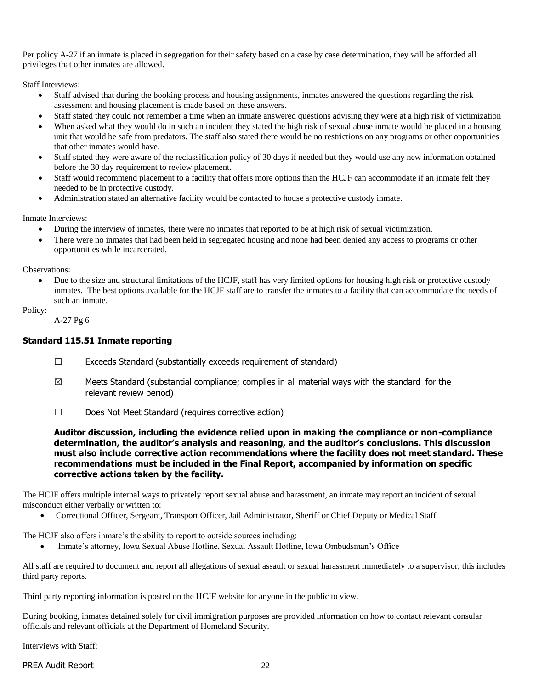Per policy A-27 if an inmate is placed in segregation for their safety based on a case by case determination, they will be afforded all privileges that other inmates are allowed.

Staff Interviews:

- Staff advised that during the booking process and housing assignments, inmates answered the questions regarding the risk assessment and housing placement is made based on these answers.
- Staff stated they could not remember a time when an inmate answered questions advising they were at a high risk of victimization
- When asked what they would do in such an incident they stated the high risk of sexual abuse inmate would be placed in a housing unit that would be safe from predators. The staff also stated there would be no restrictions on any programs or other opportunities that other inmates would have.
- Staff stated they were aware of the reclassification policy of 30 days if needed but they would use any new information obtained before the 30 day requirement to review placement.
- Staff would recommend placement to a facility that offers more options than the HCJF can accommodate if an inmate felt they needed to be in protective custody.
- Administration stated an alternative facility would be contacted to house a protective custody inmate.

Inmate Interviews:

- During the interview of inmates, there were no inmates that reported to be at high risk of sexual victimization.
- There were no inmates that had been held in segregated housing and none had been denied any access to programs or other opportunities while incarcerated.

Observations:

• Due to the size and structural limitations of the HCJF, staff has very limited options for housing high risk or protective custody inmates. The best options available for the HCJF staff are to transfer the inmates to a facility that can accommodate the needs of such an inmate.

Policy:

A-27 Pg 6

### **Standard 115.51 Inmate reporting**

- ☐ Exceeds Standard (substantially exceeds requirement of standard)
- $\boxtimes$  Meets Standard (substantial compliance; complies in all material ways with the standard for the relevant review period)
- ☐ Does Not Meet Standard (requires corrective action)

**Auditor discussion, including the evidence relied upon in making the compliance or non-compliance determination, the auditor's analysis and reasoning, and the auditor's conclusions. This discussion must also include corrective action recommendations where the facility does not meet standard. These recommendations must be included in the Final Report, accompanied by information on specific corrective actions taken by the facility.**

The HCJF offers multiple internal ways to privately report sexual abuse and harassment, an inmate may report an incident of sexual misconduct either verbally or written to:

Correctional Officer, Sergeant, Transport Officer, Jail Administrator, Sheriff or Chief Deputy or Medical Staff

The HCJF also offers inmate's the ability to report to outside sources including:

Inmate's attorney, Iowa Sexual Abuse Hotline, Sexual Assault Hotline, Iowa Ombudsman's Office

All staff are required to document and report all allegations of sexual assault or sexual harassment immediately to a supervisor, this includes third party reports.

Third party reporting information is posted on the HCJF website for anyone in the public to view.

During booking, inmates detained solely for civil immigration purposes are provided information on how to contact relevant consular officials and relevant officials at the Department of Homeland Security.

Interviews with Staff: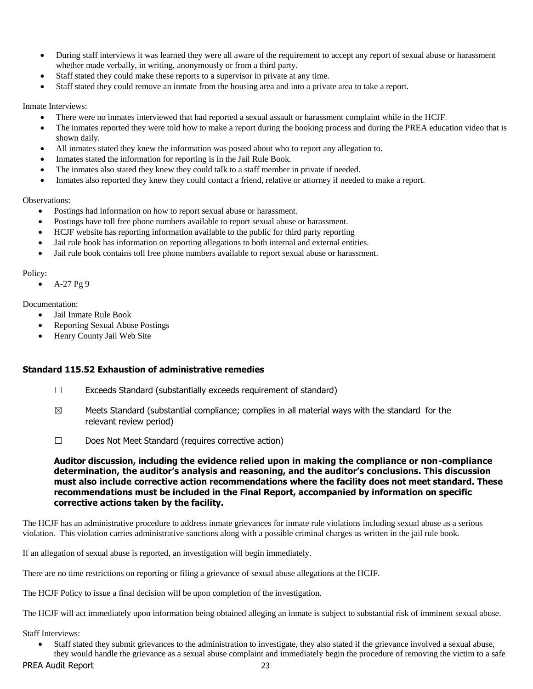- During staff interviews it was learned they were all aware of the requirement to accept any report of sexual abuse or harassment whether made verbally, in writing, anonymously or from a third party.
- Staff stated they could make these reports to a supervisor in private at any time.
- Staff stated they could remove an inmate from the housing area and into a private area to take a report.

Inmate Interviews:

- There were no inmates interviewed that had reported a sexual assault or harassment complaint while in the HCJF.
- The inmates reported they were told how to make a report during the booking process and during the PREA education video that is shown daily.
- All inmates stated they knew the information was posted about who to report any allegation to.
- Inmates stated the information for reporting is in the Jail Rule Book.
- The inmates also stated they knew they could talk to a staff member in private if needed.
- Inmates also reported they knew they could contact a friend, relative or attorney if needed to make a report.

Observations:

- Postings had information on how to report sexual abuse or harassment.
- Postings have toll free phone numbers available to report sexual abuse or harassment.
- HCJF website has reporting information available to the public for third party reporting
- Jail rule book has information on reporting allegations to both internal and external entities.
- Jail rule book contains toll free phone numbers available to report sexual abuse or harassment.

Policy:

•  $A-27$  Pg 9

Documentation:

- Jail Inmate Rule Book
- Reporting Sexual Abuse Postings
- Henry County Jail Web Site

## **Standard 115.52 Exhaustion of administrative remedies**

- ☐ Exceeds Standard (substantially exceeds requirement of standard)
- $\boxtimes$  Meets Standard (substantial compliance; complies in all material ways with the standard for the relevant review period)
- ☐ Does Not Meet Standard (requires corrective action)

### **Auditor discussion, including the evidence relied upon in making the compliance or non-compliance determination, the auditor's analysis and reasoning, and the auditor's conclusions. This discussion must also include corrective action recommendations where the facility does not meet standard. These recommendations must be included in the Final Report, accompanied by information on specific corrective actions taken by the facility.**

The HCJF has an administrative procedure to address inmate grievances for inmate rule violations including sexual abuse as a serious violation. This violation carries administrative sanctions along with a possible criminal charges as written in the jail rule book.

If an allegation of sexual abuse is reported, an investigation will begin immediately.

There are no time restrictions on reporting or filing a grievance of sexual abuse allegations at the HCJF.

The HCJF Policy to issue a final decision will be upon completion of the investigation.

The HCJF will act immediately upon information being obtained alleging an inmate is subject to substantial risk of imminent sexual abuse.

Staff Interviews:

 Staff stated they submit grievances to the administration to investigate, they also stated if the grievance involved a sexual abuse, they would handle the grievance as a sexual abuse complaint and immediately begin the procedure of removing the victim to a safe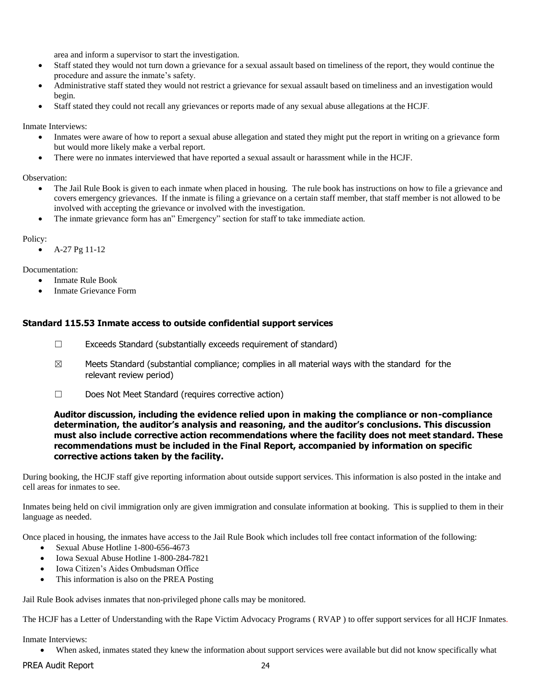area and inform a supervisor to start the investigation.

- Staff stated they would not turn down a grievance for a sexual assault based on timeliness of the report, they would continue the procedure and assure the inmate's safety.
- Administrative staff stated they would not restrict a grievance for sexual assault based on timeliness and an investigation would begin.
- Staff stated they could not recall any grievances or reports made of any sexual abuse allegations at the HCJF.

Inmate Interviews:

- Inmates were aware of how to report a sexual abuse allegation and stated they might put the report in writing on a grievance form but would more likely make a verbal report.
- There were no inmates interviewed that have reported a sexual assault or harassment while in the HCJF.

Observation:

- The Jail Rule Book is given to each inmate when placed in housing. The rule book has instructions on how to file a grievance and covers emergency grievances. If the inmate is filing a grievance on a certain staff member, that staff member is not allowed to be involved with accepting the grievance or involved with the investigation.
- The inmate grievance form has an" Emergency" section for staff to take immediate action.

Policy:

 $\bullet$  A-27 Pg 11-12

Documentation:

- Inmate Rule Book
- Inmate Grievance Form

### **Standard 115.53 Inmate access to outside confidential support services**

- ☐ Exceeds Standard (substantially exceeds requirement of standard)
- $\boxtimes$  Meets Standard (substantial compliance; complies in all material ways with the standard for the relevant review period)
- ☐ Does Not Meet Standard (requires corrective action)

**Auditor discussion, including the evidence relied upon in making the compliance or non-compliance determination, the auditor's analysis and reasoning, and the auditor's conclusions. This discussion must also include corrective action recommendations where the facility does not meet standard. These recommendations must be included in the Final Report, accompanied by information on specific corrective actions taken by the facility.**

During booking, the HCJF staff give reporting information about outside support services. This information is also posted in the intake and cell areas for inmates to see.

Inmates being held on civil immigration only are given immigration and consulate information at booking. This is supplied to them in their language as needed.

Once placed in housing, the inmates have access to the Jail Rule Book which includes toll free contact information of the following:

- Sexual Abuse Hotline 1-800-656-4673
- Iowa Sexual Abuse Hotline 1-800-284-7821
- Iowa Citizen's Aides Ombudsman Office
- This information is also on the PREA Posting

Jail Rule Book advises inmates that non-privileged phone calls may be monitored.

The HCJF has a Letter of Understanding with the Rape Victim Advocacy Programs ( RVAP ) to offer support services for all HCJF Inmates.

Inmate Interviews:

When asked, inmates stated they knew the information about support services were available but did not know specifically what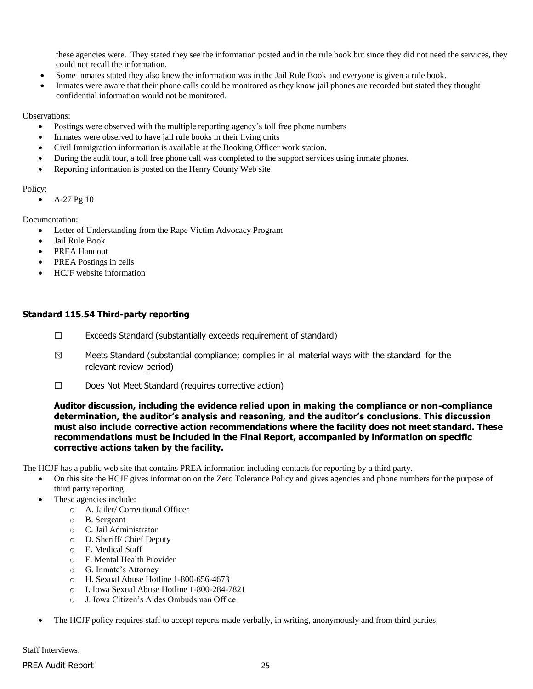these agencies were. They stated they see the information posted and in the rule book but since they did not need the services, they could not recall the information.

- Some inmates stated they also knew the information was in the Jail Rule Book and everyone is given a rule book.
- Inmates were aware that their phone calls could be monitored as they know jail phones are recorded but stated they thought confidential information would not be monitored.

Observations:

- Postings were observed with the multiple reporting agency's toll free phone numbers
- Inmates were observed to have jail rule books in their living units
- Civil Immigration information is available at the Booking Officer work station.
- During the audit tour, a toll free phone call was completed to the support services using inmate phones.
- Reporting information is posted on the Henry County Web site

Policy:

 $\bullet$  A-27 Pg 10

Documentation:

- Letter of Understanding from the Rape Victim Advocacy Program
- Jail Rule Book
- PREA Handout
- PREA Postings in cells
- HCJF website information

## **Standard 115.54 Third-party reporting**

- $\Box$  Exceeds Standard (substantially exceeds requirement of standard)
- $\boxtimes$  Meets Standard (substantial compliance; complies in all material ways with the standard for the relevant review period)
- ☐ Does Not Meet Standard (requires corrective action)

**Auditor discussion, including the evidence relied upon in making the compliance or non-compliance determination, the auditor's analysis and reasoning, and the auditor's conclusions. This discussion must also include corrective action recommendations where the facility does not meet standard. These recommendations must be included in the Final Report, accompanied by information on specific corrective actions taken by the facility.**

The HCJF has a public web site that contains PREA information including contacts for reporting by a third party.

- On this site the HCJF gives information on the Zero Tolerance Policy and gives agencies and phone numbers for the purpose of third party reporting.
- These agencies include:
	- o A. Jailer/ Correctional Officer
	- o B. Sergeant
	- o C. Jail Administrator
	- o D. Sheriff/ Chief Deputy
	- o E. Medical Staff
	- o F. Mental Health Provider
	- o G. Inmate's Attorney
	- o H. Sexual Abuse Hotline 1-800-656-4673
	- o I. Iowa Sexual Abuse Hotline 1-800-284-7821
	- o J. Iowa Citizen's Aides Ombudsman Office
- The HCJF policy requires staff to accept reports made verbally, in writing, anonymously and from third parties.

PREA Audit Report 25 Staff Interviews: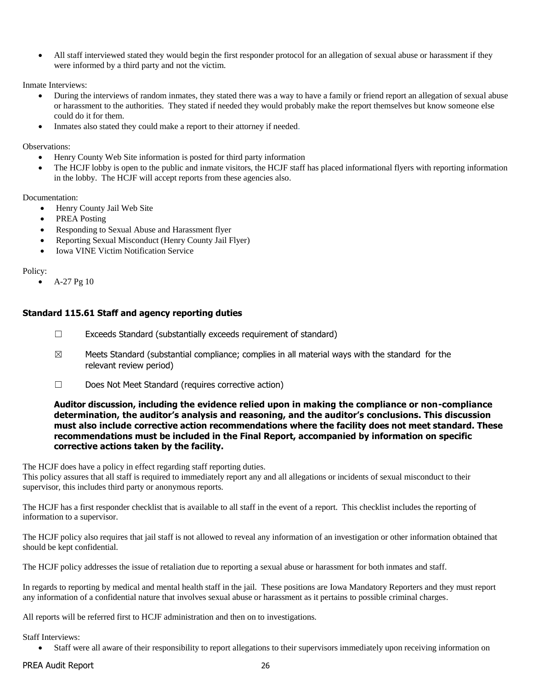All staff interviewed stated they would begin the first responder protocol for an allegation of sexual abuse or harassment if they were informed by a third party and not the victim.

Inmate Interviews:

- During the interviews of random inmates, they stated there was a way to have a family or friend report an allegation of sexual abuse or harassment to the authorities. They stated if needed they would probably make the report themselves but know someone else could do it for them.
- Inmates also stated they could make a report to their attorney if needed.

Observations:

- Henry County Web Site information is posted for third party information
- The HCJF lobby is open to the public and inmate visitors, the HCJF staff has placed informational flyers with reporting information in the lobby. The HCJF will accept reports from these agencies also.

Documentation:

- Henry County Jail Web Site
- PREA Posting
- Responding to Sexual Abuse and Harassment flyer
- Reporting Sexual Misconduct (Henry County Jail Flyer)
- Iowa VINE Victim Notification Service

Policy:

 $\bullet$  A-27 Pg 10

## **Standard 115.61 Staff and agency reporting duties**

- ☐ Exceeds Standard (substantially exceeds requirement of standard)
- $\boxtimes$  Meets Standard (substantial compliance; complies in all material ways with the standard for the relevant review period)
- ☐ Does Not Meet Standard (requires corrective action)

### **Auditor discussion, including the evidence relied upon in making the compliance or non-compliance determination, the auditor's analysis and reasoning, and the auditor's conclusions. This discussion must also include corrective action recommendations where the facility does not meet standard. These recommendations must be included in the Final Report, accompanied by information on specific corrective actions taken by the facility.**

The HCJF does have a policy in effect regarding staff reporting duties.

This policy assures that all staff is required to immediately report any and all allegations or incidents of sexual misconduct to their supervisor, this includes third party or anonymous reports.

The HCJF has a first responder checklist that is available to all staff in the event of a report. This checklist includes the reporting of information to a supervisor.

The HCJF policy also requires that jail staff is not allowed to reveal any information of an investigation or other information obtained that should be kept confidential.

The HCJF policy addresses the issue of retaliation due to reporting a sexual abuse or harassment for both inmates and staff.

In regards to reporting by medical and mental health staff in the jail. These positions are Iowa Mandatory Reporters and they must report any information of a confidential nature that involves sexual abuse or harassment as it pertains to possible criminal charges.

All reports will be referred first to HCJF administration and then on to investigations.

Staff Interviews:

Staff were all aware of their responsibility to report allegations to their supervisors immediately upon receiving information on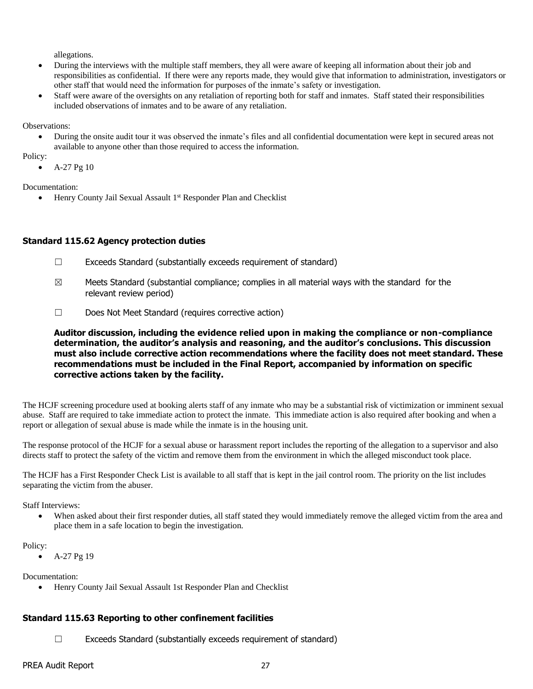allegations.

- During the interviews with the multiple staff members, they all were aware of keeping all information about their job and responsibilities as confidential. If there were any reports made, they would give that information to administration, investigators or other staff that would need the information for purposes of the inmate's safety or investigation.
- Staff were aware of the oversights on any retaliation of reporting both for staff and inmates. Staff stated their responsibilities included observations of inmates and to be aware of any retaliation.

### Observations:

 During the onsite audit tour it was observed the inmate's files and all confidential documentation were kept in secured areas not available to anyone other than those required to access the information.

Policy:

• A-27 Pg 10

Documentation:

• Henry County Jail Sexual Assault 1<sup>st</sup> Responder Plan and Checklist

## **Standard 115.62 Agency protection duties**

- ☐ Exceeds Standard (substantially exceeds requirement of standard)
- $\boxtimes$  Meets Standard (substantial compliance; complies in all material ways with the standard for the relevant review period)
- ☐ Does Not Meet Standard (requires corrective action)

**Auditor discussion, including the evidence relied upon in making the compliance or non-compliance determination, the auditor's analysis and reasoning, and the auditor's conclusions. This discussion must also include corrective action recommendations where the facility does not meet standard. These recommendations must be included in the Final Report, accompanied by information on specific corrective actions taken by the facility.**

The HCJF screening procedure used at booking alerts staff of any inmate who may be a substantial risk of victimization or imminent sexual abuse. Staff are required to take immediate action to protect the inmate. This immediate action is also required after booking and when a report or allegation of sexual abuse is made while the inmate is in the housing unit.

The response protocol of the HCJF for a sexual abuse or harassment report includes the reporting of the allegation to a supervisor and also directs staff to protect the safety of the victim and remove them from the environment in which the alleged misconduct took place.

The HCJF has a First Responder Check List is available to all staff that is kept in the jail control room. The priority on the list includes separating the victim from the abuser.

Staff Interviews:

 When asked about their first responder duties, all staff stated they would immediately remove the alleged victim from the area and place them in a safe location to begin the investigation.

### Policy:

 $\bullet$  A-27 Pg 19

Documentation:

Henry County Jail Sexual Assault 1st Responder Plan and Checklist

## **Standard 115.63 Reporting to other confinement facilities**

☐ Exceeds Standard (substantially exceeds requirement of standard)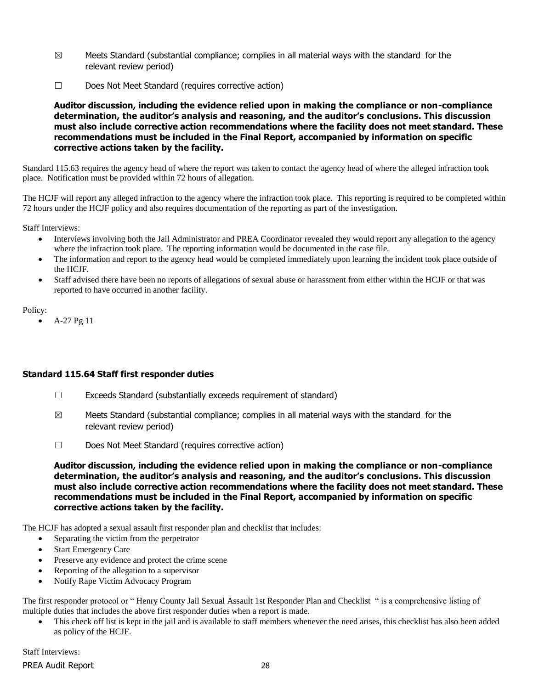- $\boxtimes$  Meets Standard (substantial compliance; complies in all material ways with the standard for the relevant review period)
- ☐ Does Not Meet Standard (requires corrective action)

### **Auditor discussion, including the evidence relied upon in making the compliance or non-compliance determination, the auditor's analysis and reasoning, and the auditor's conclusions. This discussion must also include corrective action recommendations where the facility does not meet standard. These recommendations must be included in the Final Report, accompanied by information on specific corrective actions taken by the facility.**

Standard 115.63 requires the agency head of where the report was taken to contact the agency head of where the alleged infraction took place. Notification must be provided within 72 hours of allegation.

The HCJF will report any alleged infraction to the agency where the infraction took place. This reporting is required to be completed within 72 hours under the HCJF policy and also requires documentation of the reporting as part of the investigation.

Staff Interviews:

- Interviews involving both the Jail Administrator and PREA Coordinator revealed they would report any allegation to the agency where the infraction took place. The reporting information would be documented in the case file.
- The information and report to the agency head would be completed immediately upon learning the incident took place outside of the HCJF.
- Staff advised there have been no reports of allegations of sexual abuse or harassment from either within the HCJF or that was reported to have occurred in another facility.

#### Policy:

A-27 Pg 11

## **Standard 115.64 Staff first responder duties**

- ☐ Exceeds Standard (substantially exceeds requirement of standard)
- $\boxtimes$  Meets Standard (substantial compliance; complies in all material ways with the standard for the relevant review period)
- ☐ Does Not Meet Standard (requires corrective action)

**Auditor discussion, including the evidence relied upon in making the compliance or non-compliance determination, the auditor's analysis and reasoning, and the auditor's conclusions. This discussion must also include corrective action recommendations where the facility does not meet standard. These recommendations must be included in the Final Report, accompanied by information on specific corrective actions taken by the facility.**

The HCJF has adopted a sexual assault first responder plan and checklist that includes:

- Separating the victim from the perpetrator
- Start Emergency Care
- Preserve any evidence and protect the crime scene
- Reporting of the allegation to a supervisor
- Notify Rape Victim Advocacy Program

The first responder protocol or " Henry County Jail Sexual Assault 1st Responder Plan and Checklist " is a comprehensive listing of multiple duties that includes the above first responder duties when a report is made.

 This check off list is kept in the jail and is available to staff members whenever the need arises, this checklist has also been added as policy of the HCJF.

PREA Audit Report 28 Staff Interviews: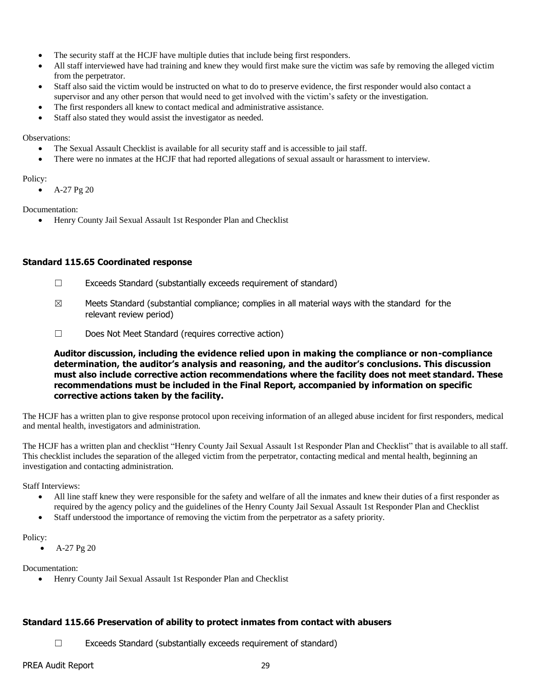- The security staff at the HCJF have multiple duties that include being first responders.
- All staff interviewed have had training and knew they would first make sure the victim was safe by removing the alleged victim from the perpetrator.
- Staff also said the victim would be instructed on what to do to preserve evidence, the first responder would also contact a supervisor and any other person that would need to get involved with the victim's safety or the investigation.
- The first responders all knew to contact medical and administrative assistance.
- Staff also stated they would assist the investigator as needed.

### Observations:

- The Sexual Assault Checklist is available for all security staff and is accessible to jail staff.
- There were no inmates at the HCJF that had reported allegations of sexual assault or harassment to interview.

### Policy:

 $\bullet$  A-27 Pg 20

### Documentation:

Henry County Jail Sexual Assault 1st Responder Plan and Checklist

### **Standard 115.65 Coordinated response**

- $\Box$  Exceeds Standard (substantially exceeds requirement of standard)
- $\boxtimes$  Meets Standard (substantial compliance; complies in all material ways with the standard for the relevant review period)
- ☐ Does Not Meet Standard (requires corrective action)

**Auditor discussion, including the evidence relied upon in making the compliance or non-compliance determination, the auditor's analysis and reasoning, and the auditor's conclusions. This discussion must also include corrective action recommendations where the facility does not meet standard. These recommendations must be included in the Final Report, accompanied by information on specific corrective actions taken by the facility.**

The HCJF has a written plan to give response protocol upon receiving information of an alleged abuse incident for first responders, medical and mental health, investigators and administration.

The HCJF has a written plan and checklist "Henry County Jail Sexual Assault 1st Responder Plan and Checklist" that is available to all staff. This checklist includes the separation of the alleged victim from the perpetrator, contacting medical and mental health, beginning an investigation and contacting administration.

Staff Interviews:

- All line staff knew they were responsible for the safety and welfare of all the inmates and knew their duties of a first responder as required by the agency policy and the guidelines of the Henry County Jail Sexual Assault 1st Responder Plan and Checklist
- Staff understood the importance of removing the victim from the perpetrator as a safety priority.

### Policy:

 $\bullet$  A-27 Pg 20

Documentation:

Henry County Jail Sexual Assault 1st Responder Plan and Checklist

## **Standard 115.66 Preservation of ability to protect inmates from contact with abusers**

 $\Box$  Exceeds Standard (substantially exceeds requirement of standard)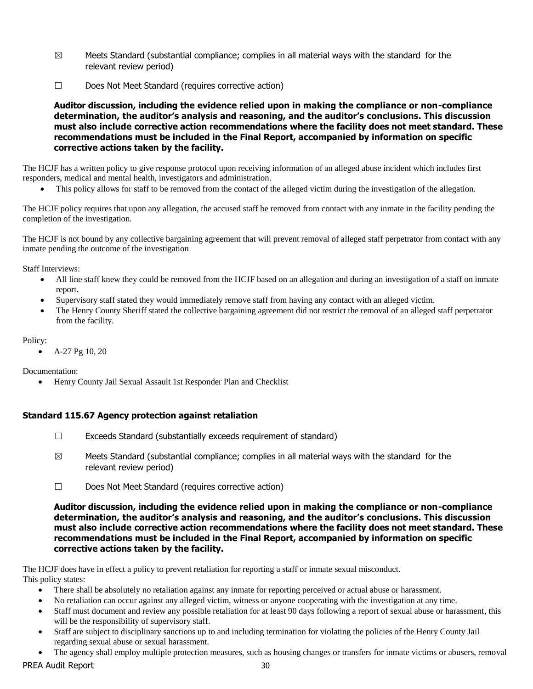- $\boxtimes$  Meets Standard (substantial compliance; complies in all material ways with the standard for the relevant review period)
- ☐ Does Not Meet Standard (requires corrective action)

**Auditor discussion, including the evidence relied upon in making the compliance or non-compliance determination, the auditor's analysis and reasoning, and the auditor's conclusions. This discussion must also include corrective action recommendations where the facility does not meet standard. These recommendations must be included in the Final Report, accompanied by information on specific corrective actions taken by the facility.**

The HCJF has a written policy to give response protocol upon receiving information of an alleged abuse incident which includes first responders, medical and mental health, investigators and administration.

This policy allows for staff to be removed from the contact of the alleged victim during the investigation of the allegation.

The HCJF policy requires that upon any allegation, the accused staff be removed from contact with any inmate in the facility pending the completion of the investigation.

The HCJF is not bound by any collective bargaining agreement that will prevent removal of alleged staff perpetrator from contact with any inmate pending the outcome of the investigation

Staff Interviews:

- All line staff knew they could be removed from the HCJF based on an allegation and during an investigation of a staff on inmate report.
- Supervisory staff stated they would immediately remove staff from having any contact with an alleged victim.
- The Henry County Sheriff stated the collective bargaining agreement did not restrict the removal of an alleged staff perpetrator from the facility.

Policy:

 $\bullet$  A-27 Pg 10, 20

Documentation:

Henry County Jail Sexual Assault 1st Responder Plan and Checklist

## **Standard 115.67 Agency protection against retaliation**

- $\Box$  Exceeds Standard (substantially exceeds requirement of standard)
- $\boxtimes$  Meets Standard (substantial compliance; complies in all material ways with the standard for the relevant review period)
- ☐ Does Not Meet Standard (requires corrective action)

**Auditor discussion, including the evidence relied upon in making the compliance or non-compliance determination, the auditor's analysis and reasoning, and the auditor's conclusions. This discussion must also include corrective action recommendations where the facility does not meet standard. These recommendations must be included in the Final Report, accompanied by information on specific corrective actions taken by the facility.**

The HCJF does have in effect a policy to prevent retaliation for reporting a staff or inmate sexual misconduct. This policy states:

- There shall be absolutely no retaliation against any inmate for reporting perceived or actual abuse or harassment.
- No retaliation can occur against any alleged victim, witness or anyone cooperating with the investigation at any time.
- Staff must document and review any possible retaliation for at least 90 days following a report of sexual abuse or harassment, this will be the responsibility of supervisory staff.
- Staff are subject to disciplinary sanctions up to and including termination for violating the policies of the Henry County Jail regarding sexual abuse or sexual harassment.
- The agency shall employ multiple protection measures, such as housing changes or transfers for inmate victims or abusers, removal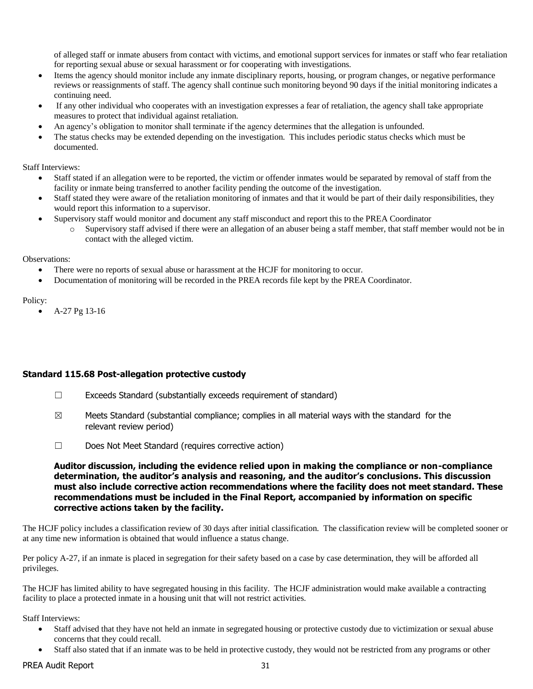of alleged staff or inmate abusers from contact with victims, and emotional support services for inmates or staff who fear retaliation for reporting sexual abuse or sexual harassment or for cooperating with investigations.

- Items the agency should monitor include any inmate disciplinary reports, housing, or program changes, or negative performance reviews or reassignments of staff. The agency shall continue such monitoring beyond 90 days if the initial monitoring indicates a continuing need.
- If any other individual who cooperates with an investigation expresses a fear of retaliation, the agency shall take appropriate measures to protect that individual against retaliation.
- An agency's obligation to monitor shall terminate if the agency determines that the allegation is unfounded.
- The status checks may be extended depending on the investigation. This includes periodic status checks which must be documented.

Staff Interviews:

- Staff stated if an allegation were to be reported, the victim or offender inmates would be separated by removal of staff from the facility or inmate being transferred to another facility pending the outcome of the investigation.
- Staff stated they were aware of the retaliation monitoring of inmates and that it would be part of their daily responsibilities, they would report this information to a supervisor.
- Supervisory staff would monitor and document any staff misconduct and report this to the PREA Coordinator
	- o Supervisory staff advised if there were an allegation of an abuser being a staff member, that staff member would not be in contact with the alleged victim.

#### Observations:

- There were no reports of sexual abuse or harassment at the HCJF for monitoring to occur.
- Documentation of monitoring will be recorded in the PREA records file kept by the PREA Coordinator.

#### Policy:

 $\bullet$  A-27 Pg 13-16

### **Standard 115.68 Post-allegation protective custody**

- $\Box$  Exceeds Standard (substantially exceeds requirement of standard)
- $\boxtimes$  Meets Standard (substantial compliance; complies in all material ways with the standard for the relevant review period)
- ☐ Does Not Meet Standard (requires corrective action)

### **Auditor discussion, including the evidence relied upon in making the compliance or non-compliance determination, the auditor's analysis and reasoning, and the auditor's conclusions. This discussion must also include corrective action recommendations where the facility does not meet standard. These recommendations must be included in the Final Report, accompanied by information on specific corrective actions taken by the facility.**

The HCJF policy includes a classification review of 30 days after initial classification. The classification review will be completed sooner or at any time new information is obtained that would influence a status change.

Per policy A-27, if an inmate is placed in segregation for their safety based on a case by case determination, they will be afforded all privileges.

The HCJF has limited ability to have segregated housing in this facility. The HCJF administration would make available a contracting facility to place a protected inmate in a housing unit that will not restrict activities.

Staff Interviews:

- Staff advised that they have not held an inmate in segregated housing or protective custody due to victimization or sexual abuse concerns that they could recall.
- Staff also stated that if an inmate was to be held in protective custody, they would not be restricted from any programs or other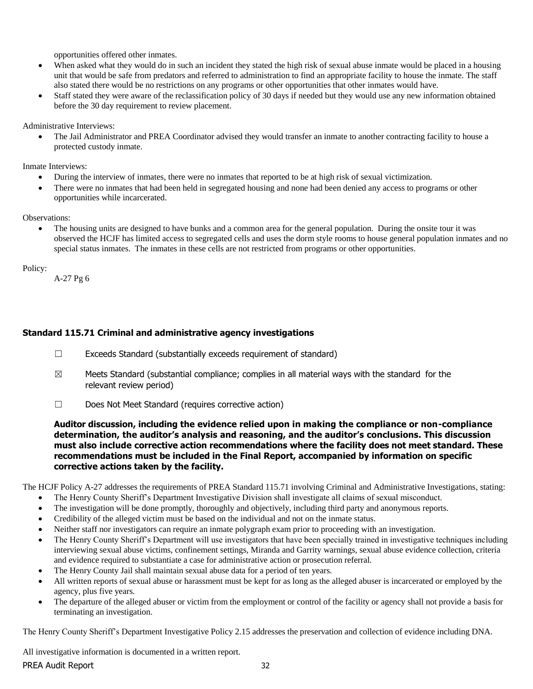opportunities offered other inmates.

- When asked what they would do in such an incident they stated the high risk of sexual abuse inmate would be placed in a housing unit that would be safe from predators and referred to administration to find an appropriate facility to house the inmate. The staff also stated there would be no restrictions on any programs or other opportunities that other inmates would have.
- Staff stated they were aware of the reclassification policy of 30 days if needed but they would use any new information obtained before the 30 day requirement to review placement.

Administrative Interviews:

 The Jail Administrator and PREA Coordinator advised they would transfer an inmate to another contracting facility to house a protected custody inmate.

Inmate Interviews:

- During the interview of inmates, there were no inmates that reported to be at high risk of sexual victimization.
- There were no inmates that had been held in segregated housing and none had been denied any access to programs or other opportunities while incarcerated.

Observations:

 The housing units are designed to have bunks and a common area for the general population. During the onsite tour it was observed the HCJF has limited access to segregated cells and uses the dorm style rooms to house general population inmates and no special status inmates. The inmates in these cells are not restricted from programs or other opportunities.

Policy:

A-27 Pg 6

## **Standard 115.71 Criminal and administrative agency investigations**

- ☐ Exceeds Standard (substantially exceeds requirement of standard)
- $\boxtimes$  Meets Standard (substantial compliance; complies in all material ways with the standard for the relevant review period)
- ☐ Does Not Meet Standard (requires corrective action)

**Auditor discussion, including the evidence relied upon in making the compliance or non-compliance determination, the auditor's analysis and reasoning, and the auditor's conclusions. This discussion must also include corrective action recommendations where the facility does not meet standard. These recommendations must be included in the Final Report, accompanied by information on specific corrective actions taken by the facility.**

The HCJF Policy A-27 addresses the requirements of PREA Standard 115.71 involving Criminal and Administrative Investigations, stating:

- The Henry County Sheriff's Department Investigative Division shall investigate all claims of sexual misconduct.
- The investigation will be done promptly, thoroughly and objectively, including third party and anonymous reports.
- Credibility of the alleged victim must be based on the individual and not on the inmate status.
- Neither staff nor investigators can require an inmate polygraph exam prior to proceeding with an investigation.
- The Henry County Sheriff's Department will use investigators that have been specially trained in investigative techniques including interviewing sexual abuse victims, confinement settings, Miranda and Garrity warnings, sexual abuse evidence collection, criteria and evidence required to substantiate a case for administrative action or prosecution referral.
- The Henry County Jail shall maintain sexual abuse data for a period of ten years.
- All written reports of sexual abuse or harassment must be kept for as long as the alleged abuser is incarcerated or employed by the agency, plus five years.
- The departure of the alleged abuser or victim from the employment or control of the facility or agency shall not provide a basis for terminating an investigation.

The Henry County Sheriff's Department Investigative Policy 2.15 addresses the preservation and collection of evidence including DNA.

PREA Audit Report 32 All investigative information is documented in a written report.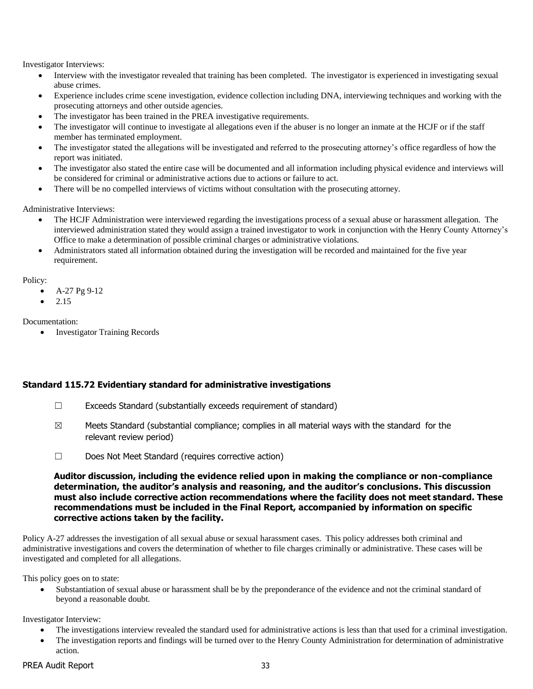Investigator Interviews:

- Interview with the investigator revealed that training has been completed. The investigator is experienced in investigating sexual abuse crimes.
- Experience includes crime scene investigation, evidence collection including DNA, interviewing techniques and working with the prosecuting attorneys and other outside agencies.
- The investigator has been trained in the PREA investigative requirements.
- The investigator will continue to investigate al allegations even if the abuser is no longer an inmate at the HCJF or if the staff member has terminated employment.
- The investigator stated the allegations will be investigated and referred to the prosecuting attorney's office regardless of how the report was initiated.
- The investigator also stated the entire case will be documented and all information including physical evidence and interviews will be considered for criminal or administrative actions due to actions or failure to act.
- There will be no compelled interviews of victims without consultation with the prosecuting attorney.

Administrative Interviews:

- The HCJF Administration were interviewed regarding the investigations process of a sexual abuse or harassment allegation. The interviewed administration stated they would assign a trained investigator to work in conjunction with the Henry County Attorney's Office to make a determination of possible criminal charges or administrative violations.
- Administrators stated all information obtained during the investigation will be recorded and maintained for the five year requirement.

Policy:

- $\bullet$  A-27 Pg 9-12
- 2.15

Documentation:

• Investigator Training Records

## **Standard 115.72 Evidentiary standard for administrative investigations**

- $\Box$  Exceeds Standard (substantially exceeds requirement of standard)
- $\boxtimes$  Meets Standard (substantial compliance; complies in all material ways with the standard for the relevant review period)
- ☐ Does Not Meet Standard (requires corrective action)

**Auditor discussion, including the evidence relied upon in making the compliance or non-compliance determination, the auditor's analysis and reasoning, and the auditor's conclusions. This discussion must also include corrective action recommendations where the facility does not meet standard. These recommendations must be included in the Final Report, accompanied by information on specific corrective actions taken by the facility.**

Policy A-27 addresses the investigation of all sexual abuse or sexual harassment cases. This policy addresses both criminal and administrative investigations and covers the determination of whether to file charges criminally or administrative. These cases will be investigated and completed for all allegations.

This policy goes on to state:

 Substantiation of sexual abuse or harassment shall be by the preponderance of the evidence and not the criminal standard of beyond a reasonable doubt.

Investigator Interview:

- The investigations interview revealed the standard used for administrative actions is less than that used for a criminal investigation.
- The investigation reports and findings will be turned over to the Henry County Administration for determination of administrative action.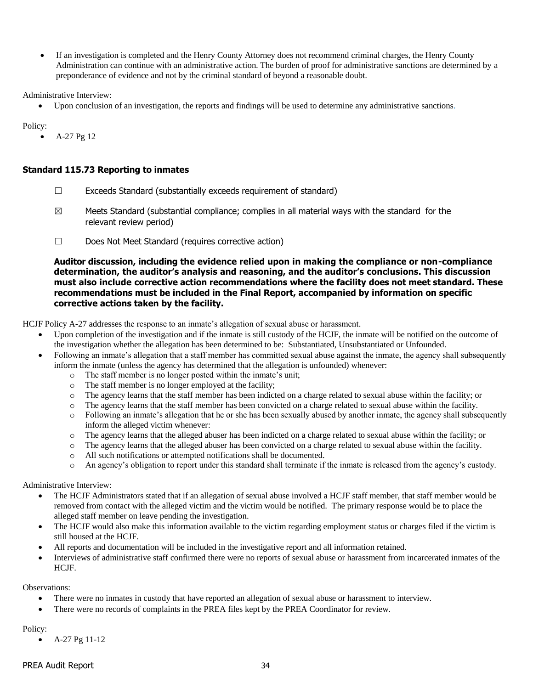If an investigation is completed and the Henry County Attorney does not recommend criminal charges, the Henry County Administration can continue with an administrative action. The burden of proof for administrative sanctions are determined by a preponderance of evidence and not by the criminal standard of beyond a reasonable doubt.

Administrative Interview:

Upon conclusion of an investigation, the reports and findings will be used to determine any administrative sanctions.

Policy:

• A-27 Pg 12

### **Standard 115.73 Reporting to inmates**

- ☐ Exceeds Standard (substantially exceeds requirement of standard)
- $\boxtimes$  Meets Standard (substantial compliance; complies in all material ways with the standard for the relevant review period)
- ☐ Does Not Meet Standard (requires corrective action)

**Auditor discussion, including the evidence relied upon in making the compliance or non-compliance determination, the auditor's analysis and reasoning, and the auditor's conclusions. This discussion must also include corrective action recommendations where the facility does not meet standard. These recommendations must be included in the Final Report, accompanied by information on specific corrective actions taken by the facility.**

HCJF Policy A-27 addresses the response to an inmate's allegation of sexual abuse or harassment.

- Upon completion of the investigation and if the inmate is still custody of the HCJF, the inmate will be notified on the outcome of the investigation whether the allegation has been determined to be: Substantiated, Unsubstantiated or Unfounded.
- Following an inmate's allegation that a staff member has committed sexual abuse against the inmate, the agency shall subsequently inform the inmate (unless the agency has determined that the allegation is unfounded) whenever:
	- o The staff member is no longer posted within the inmate's unit;
	- o The staff member is no longer employed at the facility;
	- o The agency learns that the staff member has been indicted on a charge related to sexual abuse within the facility; or
	- o The agency learns that the staff member has been convicted on a charge related to sexual abuse within the facility.
	- o Following an inmate's allegation that he or she has been sexually abused by another inmate, the agency shall subsequently inform the alleged victim whenever:
	- o The agency learns that the alleged abuser has been indicted on a charge related to sexual abuse within the facility; or
	- o The agency learns that the alleged abuser has been convicted on a charge related to sexual abuse within the facility.
	- o All such notifications or attempted notifications shall be documented.
	- o An agency's obligation to report under this standard shall terminate if the inmate is released from the agency's custody.

Administrative Interview:

- The HCJF Administrators stated that if an allegation of sexual abuse involved a HCJF staff member, that staff member would be removed from contact with the alleged victim and the victim would be notified. The primary response would be to place the alleged staff member on leave pending the investigation.
- The HCJF would also make this information available to the victim regarding employment status or charges filed if the victim is still housed at the HCJF.
- All reports and documentation will be included in the investigative report and all information retained.
- Interviews of administrative staff confirmed there were no reports of sexual abuse or harassment from incarcerated inmates of the HCJF.

Observations:

- There were no inmates in custody that have reported an allegation of sexual abuse or harassment to interview.
- There were no records of complaints in the PREA files kept by the PREA Coordinator for review.

Policy:

A-27 Pg 11-12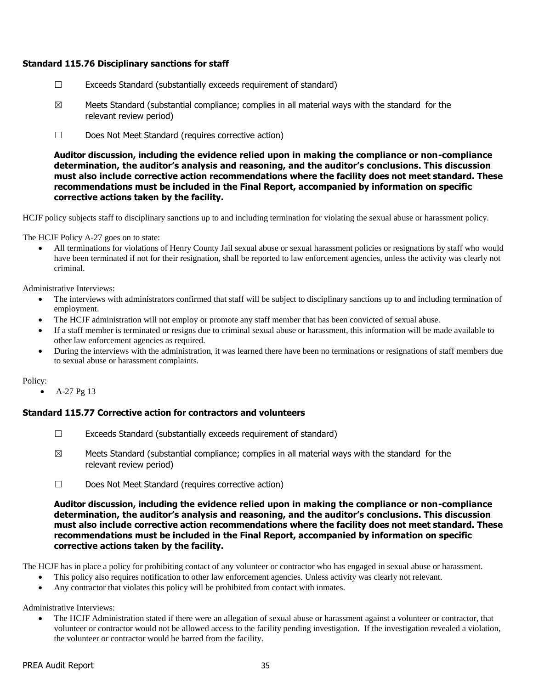## **Standard 115.76 Disciplinary sanctions for staff**

- $\Box$  Exceeds Standard (substantially exceeds requirement of standard)
- $\boxtimes$  Meets Standard (substantial compliance; complies in all material ways with the standard for the relevant review period)
- ☐ Does Not Meet Standard (requires corrective action)

**Auditor discussion, including the evidence relied upon in making the compliance or non-compliance determination, the auditor's analysis and reasoning, and the auditor's conclusions. This discussion must also include corrective action recommendations where the facility does not meet standard. These recommendations must be included in the Final Report, accompanied by information on specific corrective actions taken by the facility.**

HCJF policy subjects staff to disciplinary sanctions up to and including termination for violating the sexual abuse or harassment policy.

The HCJF Policy A-27 goes on to state:

 All terminations for violations of Henry County Jail sexual abuse or sexual harassment policies or resignations by staff who would have been terminated if not for their resignation, shall be reported to law enforcement agencies, unless the activity was clearly not criminal.

Administrative Interviews:

- The interviews with administrators confirmed that staff will be subject to disciplinary sanctions up to and including termination of employment.
- The HCJF administration will not employ or promote any staff member that has been convicted of sexual abuse.
- If a staff member is terminated or resigns due to criminal sexual abuse or harassment, this information will be made available to other law enforcement agencies as required.
- During the interviews with the administration, it was learned there have been no terminations or resignations of staff members due to sexual abuse or harassment complaints.

Policy:

A-27 Pg 13

### **Standard 115.77 Corrective action for contractors and volunteers**

- $\Box$  Exceeds Standard (substantially exceeds requirement of standard)
- $\boxtimes$  Meets Standard (substantial compliance; complies in all material ways with the standard for the relevant review period)
- ☐ Does Not Meet Standard (requires corrective action)

**Auditor discussion, including the evidence relied upon in making the compliance or non-compliance determination, the auditor's analysis and reasoning, and the auditor's conclusions. This discussion must also include corrective action recommendations where the facility does not meet standard. These recommendations must be included in the Final Report, accompanied by information on specific corrective actions taken by the facility.**

The HCJF has in place a policy for prohibiting contact of any volunteer or contractor who has engaged in sexual abuse or harassment.

- This policy also requires notification to other law enforcement agencies. Unless activity was clearly not relevant.
- Any contractor that violates this policy will be prohibited from contact with inmates.

Administrative Interviews:

 The HCJF Administration stated if there were an allegation of sexual abuse or harassment against a volunteer or contractor, that volunteer or contractor would not be allowed access to the facility pending investigation. If the investigation revealed a violation, the volunteer or contractor would be barred from the facility.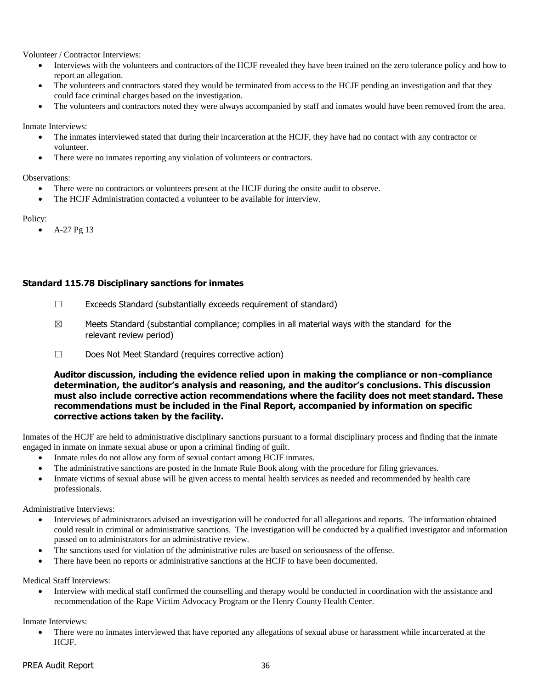Volunteer / Contractor Interviews:

- Interviews with the volunteers and contractors of the HCJF revealed they have been trained on the zero tolerance policy and how to report an allegation.
- The volunteers and contractors stated they would be terminated from access to the HCJF pending an investigation and that they could face criminal charges based on the investigation.
- The volunteers and contractors noted they were always accompanied by staff and inmates would have been removed from the area.

Inmate Interviews:

- The inmates interviewed stated that during their incarceration at the HCJF, they have had no contact with any contractor or volunteer.
- There were no inmates reporting any violation of volunteers or contractors.

Observations:

- There were no contractors or volunteers present at the HCJF during the onsite audit to observe.
- The HCJF Administration contacted a volunteer to be available for interview.

#### Policy:

 $-A-27$  Pg 13

### **Standard 115.78 Disciplinary sanctions for inmates**

- $\Box$  Exceeds Standard (substantially exceeds requirement of standard)
- $\boxtimes$  Meets Standard (substantial compliance; complies in all material ways with the standard for the relevant review period)
- ☐ Does Not Meet Standard (requires corrective action)

**Auditor discussion, including the evidence relied upon in making the compliance or non-compliance determination, the auditor's analysis and reasoning, and the auditor's conclusions. This discussion must also include corrective action recommendations where the facility does not meet standard. These recommendations must be included in the Final Report, accompanied by information on specific corrective actions taken by the facility.**

Inmates of the HCJF are held to administrative disciplinary sanctions pursuant to a formal disciplinary process and finding that the inmate engaged in inmate on inmate sexual abuse or upon a criminal finding of guilt.

- Inmate rules do not allow any form of sexual contact among HCJF inmates.
- The administrative sanctions are posted in the Inmate Rule Book along with the procedure for filing grievances.
- Inmate victims of sexual abuse will be given access to mental health services as needed and recommended by health care professionals.

Administrative Interviews:

- Interviews of administrators advised an investigation will be conducted for all allegations and reports. The information obtained could result in criminal or administrative sanctions. The investigation will be conducted by a qualified investigator and information passed on to administrators for an administrative review.
- The sanctions used for violation of the administrative rules are based on seriousness of the offense.
- There have been no reports or administrative sanctions at the HCJF to have been documented.

Medical Staff Interviews:

 Interview with medical staff confirmed the counselling and therapy would be conducted in coordination with the assistance and recommendation of the Rape Victim Advocacy Program or the Henry County Health Center.

Inmate Interviews:

 There were no inmates interviewed that have reported any allegations of sexual abuse or harassment while incarcerated at the HCJF.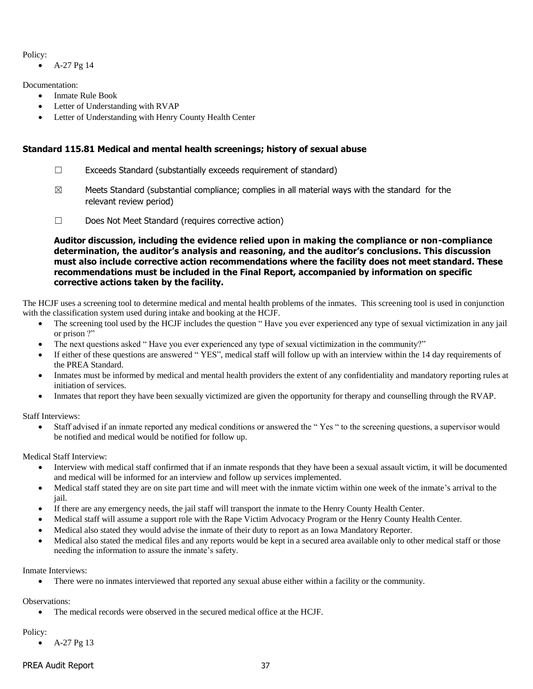Policy:

 $\bullet$  A-27 Pg 14

Documentation:

- Inmate Rule Book
- Letter of Understanding with RVAP
- Letter of Understanding with Henry County Health Center

## **Standard 115.81 Medical and mental health screenings; history of sexual abuse**

- $\Box$  Exceeds Standard (substantially exceeds requirement of standard)
- $\boxtimes$  Meets Standard (substantial compliance; complies in all material ways with the standard for the relevant review period)
- ☐ Does Not Meet Standard (requires corrective action)

**Auditor discussion, including the evidence relied upon in making the compliance or non-compliance determination, the auditor's analysis and reasoning, and the auditor's conclusions. This discussion must also include corrective action recommendations where the facility does not meet standard. These recommendations must be included in the Final Report, accompanied by information on specific corrective actions taken by the facility.**

The HCJF uses a screening tool to determine medical and mental health problems of the inmates. This screening tool is used in conjunction with the classification system used during intake and booking at the HCJF.

- The screening tool used by the HCJF includes the question "Have you ever experienced any type of sexual victimization in any jail or prison ?"
- The next questions asked "Have you ever experienced any type of sexual victimization in the community?"
- If either of these questions are answered " YES", medical staff will follow up with an interview within the 14 day requirements of the PREA Standard.
- Inmates must be informed by medical and mental health providers the extent of any confidentiality and mandatory reporting rules at initiation of services.
- Inmates that report they have been sexually victimized are given the opportunity for therapy and counselling through the RVAP.

Staff Interviews:

 Staff advised if an inmate reported any medical conditions or answered the " Yes " to the screening questions, a supervisor would be notified and medical would be notified for follow up.

Medical Staff Interview:

- Interview with medical staff confirmed that if an inmate responds that they have been a sexual assault victim, it will be documented and medical will be informed for an interview and follow up services implemented.
- Medical staff stated they are on site part time and will meet with the inmate victim within one week of the inmate's arrival to the jail.
- If there are any emergency needs, the jail staff will transport the inmate to the Henry County Health Center.
- Medical staff will assume a support role with the Rape Victim Advocacy Program or the Henry County Health Center.
- Medical also stated they would advise the inmate of their duty to report as an Iowa Mandatory Reporter.
- Medical also stated the medical files and any reports would be kept in a secured area available only to other medical staff or those needing the information to assure the inmate's safety.

Inmate Interviews:

There were no inmates interviewed that reported any sexual abuse either within a facility or the community.

Observations:

The medical records were observed in the secured medical office at the HCJF.

Policy:

A-27 Pg 13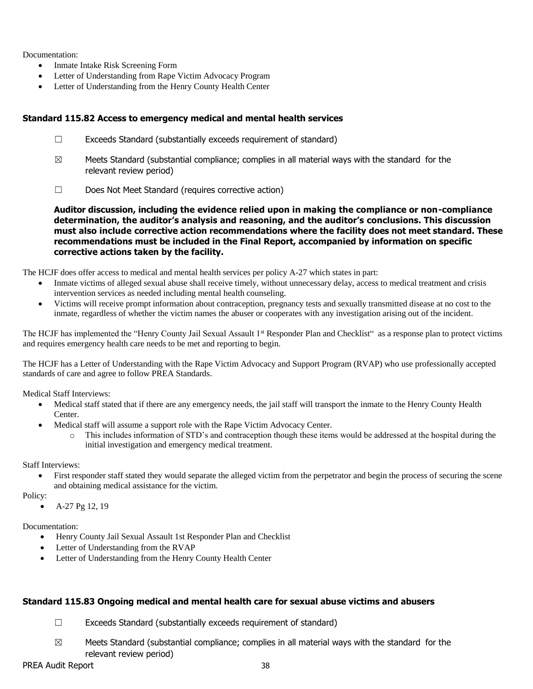Documentation:

- Inmate Intake Risk Screening Form
- Letter of Understanding from Rape Victim Advocacy Program
- Letter of Understanding from the Henry County Health Center

### **Standard 115.82 Access to emergency medical and mental health services**

- $\Box$  Exceeds Standard (substantially exceeds requirement of standard)
- $\boxtimes$  Meets Standard (substantial compliance; complies in all material ways with the standard for the relevant review period)
- ☐ Does Not Meet Standard (requires corrective action)

**Auditor discussion, including the evidence relied upon in making the compliance or non-compliance determination, the auditor's analysis and reasoning, and the auditor's conclusions. This discussion must also include corrective action recommendations where the facility does not meet standard. These recommendations must be included in the Final Report, accompanied by information on specific corrective actions taken by the facility.**

The HCJF does offer access to medical and mental health services per policy A-27 which states in part:

- Inmate victims of alleged sexual abuse shall receive timely, without unnecessary delay, access to medical treatment and crisis intervention services as needed including mental health counseling.
- Victims will receive prompt information about contraception, pregnancy tests and sexually transmitted disease at no cost to the inmate, regardless of whether the victim names the abuser or cooperates with any investigation arising out of the incident.

The HCJF has implemented the "Henry County Jail Sexual Assault 1<sup>st</sup> Responder Plan and Checklist" as a response plan to protect victims and requires emergency health care needs to be met and reporting to begin.

The HCJF has a Letter of Understanding with the Rape Victim Advocacy and Support Program (RVAP) who use professionally accepted standards of care and agree to follow PREA Standards.

Medical Staff Interviews:

- Medical staff stated that if there are any emergency needs, the jail staff will transport the inmate to the Henry County Health Center.
- Medical staff will assume a support role with the Rape Victim Advocacy Center.
	- o This includes information of STD's and contraception though these items would be addressed at the hospital during the initial investigation and emergency medical treatment.

Staff Interviews:

 First responder staff stated they would separate the alleged victim from the perpetrator and begin the process of securing the scene and obtaining medical assistance for the victim.

Policy:

A-27 Pg 12, 19

Documentation:

- Henry County Jail Sexual Assault 1st Responder Plan and Checklist
- Letter of Understanding from the RVAP
- Letter of Understanding from the Henry County Health Center

### **Standard 115.83 Ongoing medical and mental health care for sexual abuse victims and abusers**

- $\Box$  Exceeds Standard (substantially exceeds requirement of standard)
- $\boxtimes$  Meets Standard (substantial compliance; complies in all material ways with the standard for the relevant review period)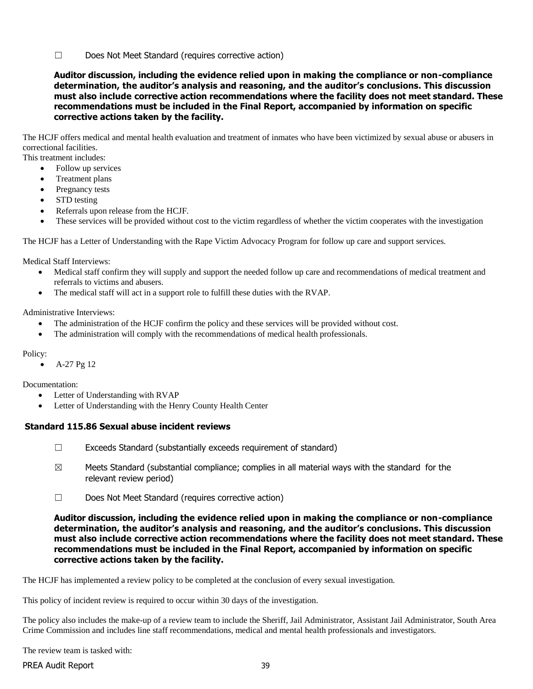☐ Does Not Meet Standard (requires corrective action)

**Auditor discussion, including the evidence relied upon in making the compliance or non-compliance determination, the auditor's analysis and reasoning, and the auditor's conclusions. This discussion must also include corrective action recommendations where the facility does not meet standard. These recommendations must be included in the Final Report, accompanied by information on specific corrective actions taken by the facility.**

The HCJF offers medical and mental health evaluation and treatment of inmates who have been victimized by sexual abuse or abusers in correctional facilities.

This treatment includes:

- Follow up services
- Treatment plans
- Pregnancy tests
- STD testing
- Referrals upon release from the HCJF.
- These services will be provided without cost to the victim regardless of whether the victim cooperates with the investigation

The HCJF has a Letter of Understanding with the Rape Victim Advocacy Program for follow up care and support services.

Medical Staff Interviews:

- Medical staff confirm they will supply and support the needed follow up care and recommendations of medical treatment and referrals to victims and abusers.
- The medical staff will act in a support role to fulfill these duties with the RVAP.

Administrative Interviews:

- The administration of the HCJF confirm the policy and these services will be provided without cost.
- The administration will comply with the recommendations of medical health professionals.

#### Policy:

 $\bullet$  A-27 Pg 12

### Documentation:

- Letter of Understanding with RVAP
- Letter of Understanding with the Henry County Health Center

## **Standard 115.86 Sexual abuse incident reviews**

- $\Box$  Exceeds Standard (substantially exceeds requirement of standard)
- $\boxtimes$  Meets Standard (substantial compliance; complies in all material ways with the standard for the relevant review period)
- ☐ Does Not Meet Standard (requires corrective action)

**Auditor discussion, including the evidence relied upon in making the compliance or non-compliance determination, the auditor's analysis and reasoning, and the auditor's conclusions. This discussion must also include corrective action recommendations where the facility does not meet standard. These recommendations must be included in the Final Report, accompanied by information on specific corrective actions taken by the facility.**

The HCJF has implemented a review policy to be completed at the conclusion of every sexual investigation.

This policy of incident review is required to occur within 30 days of the investigation.

The policy also includes the make-up of a review team to include the Sheriff, Jail Administrator, Assistant Jail Administrator, South Area Crime Commission and includes line staff recommendations, medical and mental health professionals and investigators.

The review team is tasked with: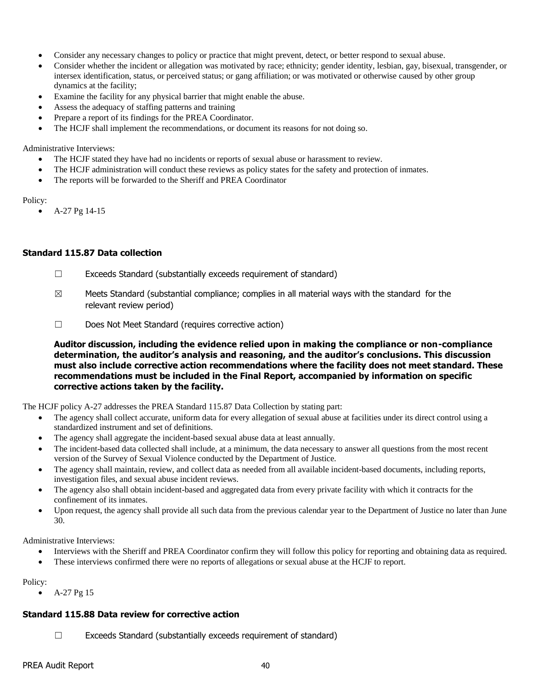- Consider any necessary changes to policy or practice that might prevent, detect, or better respond to sexual abuse.
- Consider whether the incident or allegation was motivated by race; ethnicity; gender identity, lesbian, gay, bisexual, transgender, or intersex identification, status, or perceived status; or gang affiliation; or was motivated or otherwise caused by other group dynamics at the facility;
- Examine the facility for any physical barrier that might enable the abuse.
- Assess the adequacy of staffing patterns and training
- Prepare a report of its findings for the PREA Coordinator.
- The HCJF shall implement the recommendations, or document its reasons for not doing so.

Administrative Interviews:

- The HCJF stated they have had no incidents or reports of sexual abuse or harassment to review.
- The HCJF administration will conduct these reviews as policy states for the safety and protection of inmates.
- The reports will be forwarded to the Sheriff and PREA Coordinator

Policy:

A-27 Pg 14-15

### **Standard 115.87 Data collection**

- $\Box$  Exceeds Standard (substantially exceeds requirement of standard)
- $\boxtimes$  Meets Standard (substantial compliance; complies in all material ways with the standard for the relevant review period)
- ☐ Does Not Meet Standard (requires corrective action)

**Auditor discussion, including the evidence relied upon in making the compliance or non-compliance determination, the auditor's analysis and reasoning, and the auditor's conclusions. This discussion must also include corrective action recommendations where the facility does not meet standard. These recommendations must be included in the Final Report, accompanied by information on specific corrective actions taken by the facility.**

The HCJF policy A-27 addresses the PREA Standard 115.87 Data Collection by stating part:

- The agency shall collect accurate, uniform data for every allegation of sexual abuse at facilities under its direct control using a standardized instrument and set of definitions.
- The agency shall aggregate the incident-based sexual abuse data at least annually.
- The incident-based data collected shall include, at a minimum, the data necessary to answer all questions from the most recent version of the Survey of Sexual Violence conducted by the Department of Justice.
- The agency shall maintain, review, and collect data as needed from all available incident-based documents, including reports, investigation files, and sexual abuse incident reviews.
- The agency also shall obtain incident-based and aggregated data from every private facility with which it contracts for the confinement of its inmates.
- Upon request, the agency shall provide all such data from the previous calendar year to the Department of Justice no later than June 30.

Administrative Interviews:

- Interviews with the Sheriff and PREA Coordinator confirm they will follow this policy for reporting and obtaining data as required.
- These interviews confirmed there were no reports of allegations or sexual abuse at the HCJF to report.

Policy:

 $A-27$  Pg 15

## **Standard 115.88 Data review for corrective action**

☐ Exceeds Standard (substantially exceeds requirement of standard)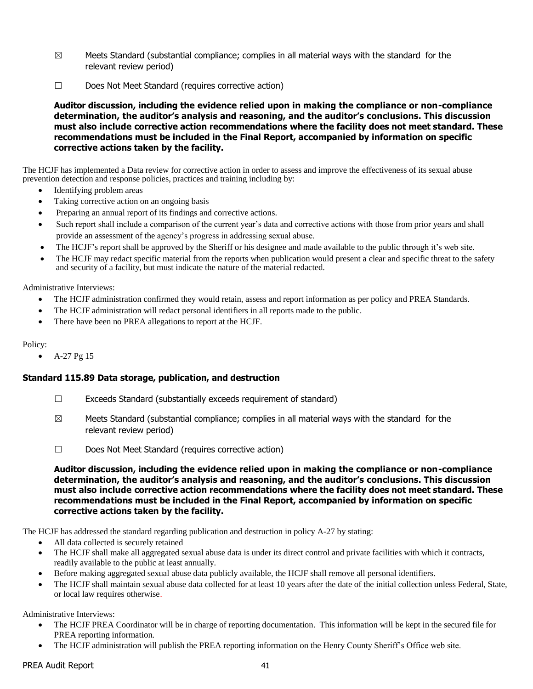- $\boxtimes$  Meets Standard (substantial compliance; complies in all material ways with the standard for the relevant review period)
- ☐ Does Not Meet Standard (requires corrective action)

**Auditor discussion, including the evidence relied upon in making the compliance or non-compliance determination, the auditor's analysis and reasoning, and the auditor's conclusions. This discussion must also include corrective action recommendations where the facility does not meet standard. These recommendations must be included in the Final Report, accompanied by information on specific corrective actions taken by the facility.**

The HCJF has implemented a Data review for corrective action in order to assess and improve the effectiveness of its sexual abuse prevention detection and response policies, practices and training including by:

- Identifying problem areas
- Taking corrective action on an ongoing basis
- Preparing an annual report of its findings and corrective actions.
- Such report shall include a comparison of the current year's data and corrective actions with those from prior years and shall provide an assessment of the agency's progress in addressing sexual abuse.
- The HCJF's report shall be approved by the Sheriff or his designee and made available to the public through it's web site.
- The HCJF may redact specific material from the reports when publication would present a clear and specific threat to the safety and security of a facility, but must indicate the nature of the material redacted.

Administrative Interviews:

- The HCJF administration confirmed they would retain, assess and report information as per policy and PREA Standards.
- The HCJF administration will redact personal identifiers in all reports made to the public.
- There have been no PREA allegations to report at the HCJF.

#### Policy:

 $A-27$  Pg 15

### **Standard 115.89 Data storage, publication, and destruction**

- ☐ Exceeds Standard (substantially exceeds requirement of standard)
- $\boxtimes$  Meets Standard (substantial compliance; complies in all material ways with the standard for the relevant review period)
- ☐ Does Not Meet Standard (requires corrective action)

### **Auditor discussion, including the evidence relied upon in making the compliance or non-compliance determination, the auditor's analysis and reasoning, and the auditor's conclusions. This discussion must also include corrective action recommendations where the facility does not meet standard. These recommendations must be included in the Final Report, accompanied by information on specific corrective actions taken by the facility.**

The HCJF has addressed the standard regarding publication and destruction in policy A-27 by stating:

- All data collected is securely retained
- The HCJF shall make all aggregated sexual abuse data is under its direct control and private facilities with which it contracts, readily available to the public at least annually.
- Before making aggregated sexual abuse data publicly available, the HCJF shall remove all personal identifiers.
- The HCJF shall maintain sexual abuse data collected for at least 10 years after the date of the initial collection unless Federal, State, or local law requires otherwise.

Administrative Interviews:

- The HCJF PREA Coordinator will be in charge of reporting documentation. This information will be kept in the secured file for PREA reporting information.
- The HCJF administration will publish the PREA reporting information on the Henry County Sheriff's Office web site.